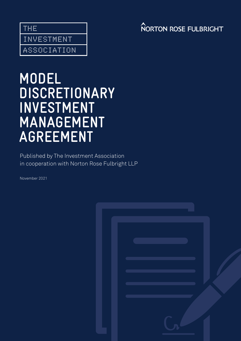THE INVESTMENT

ASSOCIATION

# **NORTON ROSE FULBRIGHT**

# **MODEL DISCRETIONARY INVESTMENT MANAGEMENT AGREEMENT**

Published by The Investment Association in cooperation with Norton Rose Fulbright LLP

November 2021

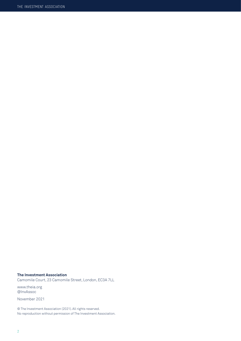#### **The Investment Association**

Camomile Court, 23 Camomile Street, London, EC3A 7LL

www.theia.org @InvAssoc

November 2021

© The Investment Association (2021). All rights reserved. No reproduction without permission of The Investment Association.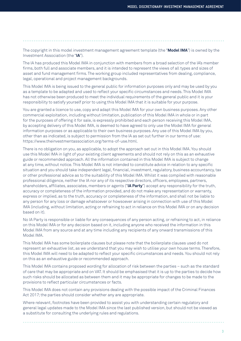The copyright in this model investment management agreement template (the "**Model IMA**") is owned by the Investment Association (the "**IA**").

The IA has produced this Model IMA in conjunction with members from a broad selection of the IA's member firms, both full and associate members, and it is intended to represent the views of all types and sizes of asset and fund management firms. The working group included representatives from dealing, compliance, legal, operational and project management backgrounds.

This Model IMA is being issued to the general public for information purposes only and may be used by you as a template to be adapted and used to reflect your specific circumstances and needs. This Model IMA has not otherwise been produced to meet the individual requirements of the general public and it is your responsibility to satisfy yourself prior to using this Model IMA that it is suitable for your purpose.

You are granted a licence to use, copy and adapt this Model IMA for your own business purposes. Any other commercial exploitation, including without limitation, publication of this Model IMA in whole or in part for the purposes of offering it for sale, is expressly prohibited and each person receiving this Model IMA, by accepting delivery of this Model IMA, is deemed to have agreed to only use the Model IMA for general information purposes or as applicable to their own business purposes. Any use of this Model IMA by you, other than as indicated, is subject to permission from the IA as set out further in our terms of use: https://www.theinvestmentassociation.org/terms-of-use.html.

There is no obligation on you, as applicable, to adopt the approach set out in this Model IMA. You should use this Model IMA in light of your existing client agreements and should not rely on this as an exhaustive guide or recommended approach. All the information contained in this Model IMA is subject to change at any time, without notice. This Model IMA is not intended to constitute advice in relation to any specific situation and you should take independent legal, financial, investment, regulatory, business accountancy, tax or other professional advice as to the suitability of this Model IMA. Whilst it was compiled with reasonable professional diligence, neither the IA nor any of its respective directors, officers, employees, partners, shareholders, affiliates, associates, members or agents ("**IA Party**") accept any responsibility for the truth, accuracy or completeness of the information provided, and do not make any representation or warranty, express or implied, as to the truth, accuracy or completeness of the information, and shall not be liable to any person for any loss or damage whatsoever or howsoever arising in connection with use of this Model IMA (including, without limitation, acting or refraining to act in reliance on this Model IMA or on any decision based on it).

No IA Party is responsible or liable for any consequences of any person acting, or refraining to act, in reliance on this Model IMA or for any decision based on it, including anyone who received the information in this Model IMA from any source and at any time including any recipients of any onward transmissions of this Model IMA.

This Model IMA has some boilerplate clauses but please note that the boilerplate clauses used do not represent an exhaustive list, as we understand that you may wish to utilise your own house terms. Therefore, this Model IMA will need to be adapted to reflect your specific circumstances and needs. You should not rely on this as an exhaustive guide or recommended approach.

This Model IMA contains proposed wording for allocation of risk between the parties – such as the standard of care that may be appropriate and on VAT. It should be emphasised that it is up to the parties to decide how such risks should be allocated as between them and it may be appropriate for changes to be made to the provisions to reflect particular circumstances or facts.

This Model IMA does not contain any provisions dealing with the possible impact of the Criminal Finances Act 2017; the parties should consider whether any are appropriate.

Where relevant, footnotes have been provided to assist you with understanding certain regulatory and general legal updates made to the Model IMA since the last published version, but should not be viewed as a substitute for consulting the underlying rules and regulations.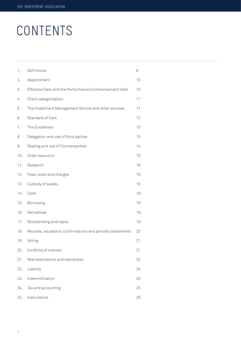# CONTENTS

| 1.  | Definitions                                                | $6\,$ |
|-----|------------------------------------------------------------|-------|
| 2.  | Appointment                                                | 10    |
| 3.  | Effective Date and the Performance Commencement Date       | 10    |
| 4.  | Client categorisation                                      | 11    |
| 5.  | The Investment Management Service and other services       | 11    |
| 6.  | Standard of Care                                           | 12    |
| 7.  | The Guidelines                                             | 13    |
| 8.  | Delegation and use of third parties                        | 13    |
| 9.  | Dealing and use of Counterparties                          | 14    |
| 10. | Order execution                                            | 15    |
| 11. | Research                                                   | 16    |
| 12. | Fees, costs and charges                                    | 16    |
| 13. | Custody of assets                                          | 18    |
| 14. | Cash                                                       | 19    |
| 15. | Borrowing                                                  | 19    |
| 16. | Derivatives                                                | 19    |
| 17. | Stocklending and repos                                     | 19    |
| 18. | Records, valuations, confirmations and periodic statements | 20    |
| 19. | Voting                                                     | 21    |
| 20. | Conflicts of interest                                      | 21    |
| 21. | Representations and warranties                             | 22    |
| 22. | Liability                                                  | 24    |
| 23. | Indemnification                                            | 25    |
| 24. | Tax and accounting                                         | 25    |
| 25. | Instructions                                               | 26    |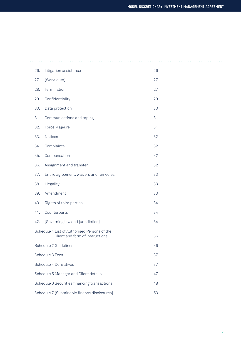| 26.                                                                                   | Litigation assistance                  | 26 |  |  |
|---------------------------------------------------------------------------------------|----------------------------------------|----|--|--|
| 27.                                                                                   | [Work-outs]                            | 27 |  |  |
| 28.                                                                                   | Termination                            | 27 |  |  |
| 29.                                                                                   | Confidentiality                        | 29 |  |  |
| 30.                                                                                   | Data protection                        | 30 |  |  |
| 31.                                                                                   | Communications and taping              | 31 |  |  |
| 32.                                                                                   | Force Majeure                          | 31 |  |  |
| 33.                                                                                   | <b>Notices</b>                         | 32 |  |  |
| 34.                                                                                   | Complaints                             | 32 |  |  |
| 35.                                                                                   | Compensation                           | 32 |  |  |
| 36.                                                                                   | Assignment and transfer                | 32 |  |  |
| 37.                                                                                   | Entire agreement, waivers and remedies | 33 |  |  |
| 38.                                                                                   | Illegality                             | 33 |  |  |
| 39.                                                                                   | Amendment                              | 33 |  |  |
| 40.                                                                                   | Rights of third parties                | 34 |  |  |
| 41.                                                                                   | Counterparts                           | 34 |  |  |
| 42.                                                                                   | [Governing law and jurisdiction]       | 34 |  |  |
| Schedule 1 List of Authorised Persons of the<br>Client and form of Instructions<br>36 |                                        |    |  |  |
|                                                                                       | Schedule 2 Guidelines                  | 36 |  |  |
| Schedule 3 Fees<br>37                                                                 |                                        |    |  |  |
| Schedule 4 Derivatives<br>37                                                          |                                        |    |  |  |
| Schedule 5 Manager and Client details<br>47                                           |                                        |    |  |  |
| Schedule 6 Securities financing transactions<br>48                                    |                                        |    |  |  |
| Schedule 7 [Sustainable finance disclosures]<br>53                                    |                                        |    |  |  |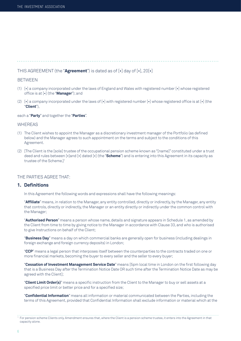# THIS AGREEMENT (the "**Agreement**") is dated as of [•] day of [•], 20[•]

#### **BETWEEN**

- (1) [•] a company incorporated under the laws of England and Wales with registered number [•] whose registered office is at [•] (the "**Manager**"); and
- (2)  $[\cdot]$  a company incorporated under the laws of  $[\cdot]$  with registered number  $[\cdot]$  whose registered office is at  $[\cdot]$  (the "**Client**"),

each a "**Party**" and together the "**Parties**".

#### WHEREAS

- (1) The Client wishes to appoint the Manager as a discretionary investment manager of the Portfolio (as defined below) and the Manager agrees to such appointment on the terms and subject to the conditions of this Agreement.
- (2) [The Client is the [sole] trustee of the occupational pension scheme known as "[name]" constituted under a trust deed and rules between [•]and [•] dated [•] (the "**Scheme**") and is entering into this Agreement in its capacity as trustee of the Scheme.]1

#### THE PARTIES AGREE THAT:

### **1. Definitions**

In this Agreement the following words and expressions shall have the following meanings:

 "**Affiliate**" means, in relation to the Manager, any entity controlled, directly or indirectly, by the Manager, any entity that controls, directly or indirectly, the Manager or an entity directly or indirectly under the common control with the Manager;

 "**Authorised Person**" means a person whose name, details and signature appears in Schedule 1, as amended by the Client from time to time by giving notice to the Manager in accordance with Clause 33, and who is authorised to give Instructions on behalf of the Client;

 "**Business Day**" means a day on which commercial banks are generally open for business (including dealings in foreign exchange and foreign currency deposits) in London;

 "**CCP**" means a legal person that interposes itself between the counterparties to the contracts traded on one or more financial markets, becoming the buyer to every seller and the seller to every buyer;

 "**Cessation of Investment Management Service Date**" means [5pm local time in London on the first following day that is a Business Day after the Termination Notice Date OR such time after the Termination Notice Date as may be agreed with the Client];

 "**Client Limit Order(s)**" means a specific instruction from the Client to the Manager to buy or sell assets at a specified price limit or better price and for a specified size;

 "**Confidential Information**" means all information or material communicated between the Parties, including the terms of this Agreement, provided that Confidential Information shall exclude information or material which at the

 $^{\rm 1}$  For pension scheme Clients only. Amendment ensures that, where the Client is a pension scheme trustee, it enters into the Agreement in that capacity alone.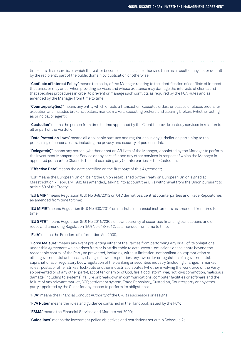time of its disclosure is, or which thereafter becomes (in each case otherwise than as a result of any act or default by the recipient), part of the public domain by publication or otherwise;

 "**Conflicts of Interest Policy**" means the policy of the Manager relating to the identification of conflicts of interest that arise, or may arise, when providing services and whose existence may damage the interests of clients and that specifies procedures in order to prevent or manage such conflicts as required by the FCA Rules and as amended by the Manager from time to time;

 "**Counterparty(ies)**" means any entity which effects a transaction, executes orders or passes or places orders for execution and includes brokers, dealers, market makers, executing brokers and clearing brokers (whether acting as principal or agent);

 "**Custodian**" means the person from time to time appointed by the Client to provide custody services in relation to all or part of the Portfolio;

 "**Data Protection Laws**" means all applicable statutes and regulations in any jurisdiction pertaining to the processing of personal data, including the privacy and security of personal data;

 "**Delegate(s)**" means any person (whether or not an Affiliate of the Manager) appointed by the Manager to perform the Investment Management Service or any part of it and any other services in respect of which the Manager is appointed pursuant to Clause 5.1 b) but excluding any Counterparties or the Custodian;

"**Effective Date**" means the date specified on the first page of this Agreement;

 "**EU**" means the European Union, being the Union established by the Treaty on European Union signed at Maastricht on 7 February 1992 (as amended), taking into account the UK's withdrawal from the Union pursuant to article 50 of the Treaty;

 "**EU EMIR**" means Regulation (EU) No 648/2012 on OTC derivatives, central counterparties and Trade Repositories as amended from time to time;

 "**EU MiFIR**" means Regulation (EU) No 600/2014 on markets in financial instruments as amended from time to time;

 "**EU SFTR**" means Regulation (EU) No 2015/2365 on transparency of securities financing transactions and of reuse and amending Regulation (EU) No 648/2012, as amended from time to time;

"**FoIA**" means the Freedom of Information Act 2000;

 "**Force Majeure**" means any event preventing either of the Parties from performing any or all of its obligations under this Agreement which arises from or is attributable to acts, events, omissions or accidents beyond the reasonable control of the Party so prevented, including, without limitation, nationalisation, expropriation or other governmental actions; any change of law or regulation, any law, order or regulation of a governmental, supranational or regulatory body, regulation of the banking or securities industry (including changes in market rules), postal or other strikes, lock-outs or other industrial disputes (whether involving the workforce of the Party so prevented or of any other party), act of terrorism or of God, fire, flood, storm, war, riot, civil commotion, malicious damage (including to systems), failure or breakdown in communications, computer facilities or software and the failure of any relevant market, CCP, settlement system, Trade Repository, Custodian, Counterparty or any other party appointed by the Client for any reason to perform its obligations;

"**FCA**" means the Financial Conduct Authority of the UK, its successors or assigns;

"**FCA Rules**" means the rules and guidance contained in the Handbook issued by the FCA;

"**FSMA**" means the Financial Services and Markets Act 2000;

"**Guidelines**" means the investment policy, objectives and restrictions set out in Schedule 2;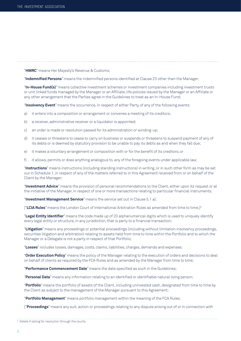"**HMRC**" means Her Majesty's Revenue & Customs;

"**Indemnified Persons**" means the indemnified persons identified at Clause 23 other than the Manager;

 "**In-House Fund(s)**" means collective investment schemes or investment companies including investment trusts or unit linked funds managed by the Manager or an Affiliate, life policies issued by the Manager or an Affiliate or any other arrangement that the Parties agree in the Guidelines to treat as an In-House Fund;

"**Insolvency Event**" means the occurrence, in respect of either Party, of any of the following events:

- a) it enters into a composition or arrangement or convenes a meeting of its creditors;
- b) a receiver, administrative receiver or a liquidator is appointed;
- c) an order is made or resolution passed for its administration or winding-up;
- d) it ceases or threatens to cease to carry on business or suspends or threatens to suspend payment of any of its debts or is deemed by statutory provision to be unable to pay its debts as and when they fall due;
- e) it makes a voluntary arrangement or composition with or for the benefit of its creditors; or
- f) it allows, permits or does anything analogous to, any of the foregoing events under applicable law;

 "**Instructions**" means instructions (including standing instructions) in writing, or in such other form as may be set out in Schedule 1, in respect of any of the matters referred to in this Agreement received from or on behalf of the Client by the Manager;

 "**Investment Advice**" means the provision of personal recommendations to the Client, either upon its request or at the initiative of the Manager, in respect of one or more transactions relating to particular financial instruments;

"**Investment Management Service**" means the service set out in Clause 5.1 a);

["**LCIA Rules**" means the London Court of International Arbitration Rules as amended from time to time;]2

 "**Legal Entity Identifier**" means the code made up of 20 alphanumerical digits which is used to uniquely identify every legal entity or structure, in any jurisdiction, that is party to a financial transaction;

 "**Litigation**" means any proceedings or potential proceedings (including without limitation insolvency proceedings, securities litigation and arbitration) relating to assets held from time to time within the Portfolio and to which the Manager or a Delegate is not a party in respect of that Portfolio;

"**Losses**" includes losses, damages, costs, claims, liabilities, charges, demands and expenses;

 "**Order Execution Policy**" means the policy of the Manager relating to the execution of orders and decisions to deal on behalf of clients as required by the FCA Rules and as amended by the Manager from time to time;

"**Performance Commencement Date**" means the date specified as such in the Guidelines;

"**Personal Data**" means any information relating to an identified or identifiable natural living person;

 "**Portfolio**" means the portfolio of assets of the Client, including uninvested cash, designated from time to time by the Client as subject to the management of the Manager pursuant to this Agreement;

"**Portfolio Management**" means portfolio management within the meaning of the FCA Rules;

["**Proceedings**" means any suit, action or proceedings relating to any dispute arising out of or in connection with

<sup>&</sup>lt;sup>2</sup> Delete if opting for resolution through the courts.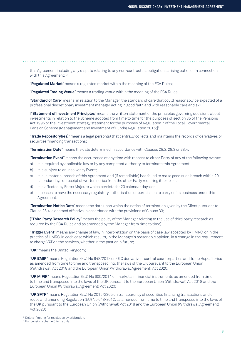this Agreement including any dispute relating to any non-contractual obligations arising out of or in connection with this Agreement;<sup>3</sup>

"**Regulated Market**" means a regulated market within the meaning of the FCA Rules;

"**Regulated Trading Venue**" means a trading venue within the meaning of the FCA Rules;

 "**Standard of Care**" means, in relation to the Manager, the standard of care that could reasonably be expected of a professional discretionary investment manager acting in good faith and with reasonable care and skill;

 ["**Statement of Investment Principles**" means the written statement of the principles governing decisions about investments in relation to the Scheme adopted from time to time for the purposes of section 35 of the Pensions Act 1995 or the investment strategy statement for the purposes of Regulation 7 of the Local Governmental Pension Scheme (Management and Investment of Funds) Regulation 2016;<sup>14</sup>

 "**Trade Repository(ies)**" means a legal person(s) that centrally collects and maintains the records of derivatives or securities financing transactions;

"**Termination Date**" means the date determined in accordance with Clauses 28.2, 28.3 or 28.4;

"**Termination Event**" means the occurrence at any time with respect to either Party of any of the following events:

- a) it is required by applicable law or by any competent authority to terminate this Agreement;
- b) it is subject to an Insolvency Event;
- c) it is in material breach of this Agreement and (if remediable) has failed to make good such breach within 20 calendar days of receipt of written notice from the other Party requiring it to do so;
- d) it is affected by Force Majeure which persists for 20 calendar days; or
- e) it ceases to have the necessary regulatory authorisation or permission to carry on its business under this Agreement;

 "**Termination Notice Date**" means the date upon which the notice of termination given by the Client pursuant to Clause 28.4 is deemed effective in accordance with the provisions of Clause 33;

 ["**Third Party Research Policy**" means the policy of the Manager relating to the use of third party research as required by the FCA Rules and as amended by the Manager from time to time];

 "**Trigger Event**" means any change of law, in interpretation on the basis of case law accepted by HMRC, or in the practice of HMRC, in each case which results, in the Manager's reasonable opinion, in a change in the requirement to charge VAT on the services, whether in the past or in future;

"**UK**" means the United Kingdom;

 "**UK EMIR**" means Regulation (EU) No 648/2012 on OTC derivatives, central counterparties and Trade Repositories as amended from time to time and transposed into the laws of the UK pursuant to the European Union (Withdrawal) Act 2018 and the European Union (Withdrawal Agreement) Act 2020;

 "**UK MiFIR**" means Regulation (EU) No 600/2014 on markets in financial instruments as amended from time to time and transposed into the laws of the UK pursuant to the European Union (Withdrawal) Act 2018 and the European Union (Withdrawal Agreement) Act 2020;

 "**UK SFTR**" means Regulation (EU) No 2015/2365 on transparency of securities financing transactions and of reuse and amending Regulation (EU) No 648/2012, as amended from time to time and transposed into the laws of the UK pursuant to the European Union (Withdrawal) Act 2018 and the European Union (Withdrawal Agreement) Act 2020;

<sup>3</sup> Delete if opting for resolution by arbitration.

<sup>4</sup> For pension scheme Clients only.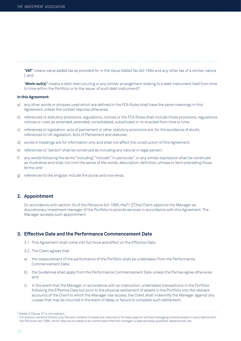"**VAT**" means value added tax as provided for in the Value Added Tax Act 1994 and any other tax of a similar nature [; and

 "**Work-out(s)**" means a debt restructuring or any similar arrangement relating to a debt instrument held from time to time within the Portfolio or to the issuer of such debt instrument]<sup>5</sup>.

#### **In this Agreement:**

- a) any other words or phrases used which are defined in the FCA Rules shall have the same meanings in this Agreement unless the context requires otherwise;
- b) references to statutory provisions, regulations, notices or the FCA Rules shall include those provisions, regulations, notices or rules as amended, extended, consolidated, substituted or re-enacted from time to time;
- c) references to legislation, acts of parliament or other statutory provisions are, for the avoidance of doubt, references to UK legislation, Acts of Parliament and statutes;
- d) words in headings are for information only and shall not affect the construction of this Agreement;
- e) references to "person" shall be construed as including any natural or legal person;
- f) any words following the terms "including", "include", "in particular", or any similar expression shall be construed as illustrative and shall not limit the sense of the words, description, definition, phrase or term preceding those terms; and
- g) references to the singular include the plural and vice versa.

#### **2. Appointment**

[In accordance with section 34 of the Pensions Act 1995, the<sup>[6</sup>/ [[T]he] Client appoints the Manager as discretionary investment manager of the Portfolio to provide services in accordance with this Agreement. The Manager accepts such appointment.

# **3. Effective Date and the Performance Commencement Date**

- 3.1. This Agreement shall come into full force and effect on the Effective Date.
- 3.2. The Client agrees that:
- a) the measurement of the performance of the Portfolio shall be undertaken from the Performance Commencement Date;
- b) the Guidelines shall apply from the Performance Commencement Date unless the Parties agree otherwise; and
- c) in the event that the Manager, in accordance with an Instruction, undertakes transactions in the Portfolio following the Effective Date but prior to the physical settlement of assets in the Portfolio into the relevant accounts of the Client to which the Manager has access, the Client shall indemnify the Manager against any Losses that may be incurred in the event of delay or failure to complete such settlement.

<sup>5</sup> Delete if Clause 27 is not relevant.

 $^6$  For pension scheme Clients only. Pension scheme trustees are required to formally appoint entities managing scheme assets in accordance with the Pensions Act 1995, which requires trustees to be comfortable that the manager is appropriately qualified, experienced, etc.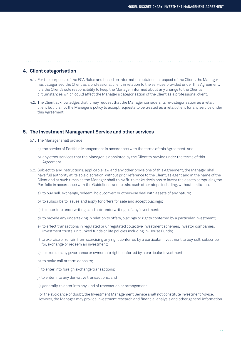# **4. Client categorisation**

- 4.1. For the purposes of the FCA Rules and based on information obtained in respect of the Client, the Manager has categorised the Client as a professional client in relation to the services provided under this Agreement. It is the Client's sole responsibility to keep the Manager informed about any change to the Client's circumstances which could affect the Manager's categorisation of the Client as a professional client.
- 4.2. The Client acknowledges that it may request that the Manager considers its re-categorisation as a retail client but it is not the Manager's policy to accept requests to be treated as a retail client for any service under this Agreement.

#### **5. The Investment Management Service and other services**

- 5.1. The Manager shall provide:
	- a) the service of Portfolio Management in accordance with the terms of this Agreement; and
	- b) any other services that the Manager is appointed by the Client to provide under the terms of this Agreement.
- 5.2. Subject to any Instructions, applicable law and any other provisions of this Agreement, the Manager shall have full authority at its sole discretion, without prior reference to the Client, as agent and in the name of the Client and at such times as the Manager shall think fit, to make decisions to invest the assets comprising the Portfolio in accordance with the Guidelines, and to take such other steps including, without limitation:
	- a) to buy, sell, exchange, redeem, hold, convert or otherwise deal with assets of any nature;
	- b) to subscribe to issues and apply for offers for sale and accept placings;
	- c) to enter into underwritings and sub-underwritings of any investments;
	- d) to provide any undertaking in relation to offers, placings or rights conferred by a particular investment;
	- e) to effect transactions in regulated or unregulated collective investment schemes, investor companies, investment trusts, unit linked funds or life policies including In-House Funds;
	- f) to exercise or refrain from exercising any right conferred by a particular investment to buy, sell, subscribe for, exchange or redeem an investment;
	- g) to exercise any governance or ownership right conferred by a particular investment;
	- h) to make call or term deposits;
	- i) to enter into foreign exchange transactions;
	- j) to enter into any derivative transactions; and
	- k) generally, to enter into any kind of transaction or arrangement.

 For the avoidance of doubt, the Investment Management Service shall not constitute Investment Advice. However, the Manager may provide investment research and financial analysis and other general information.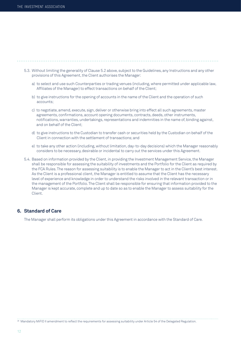- 5.3. Without limiting the generality of Clause 5.2 above, subject to the Guidelines, any Instructions and any other provisions of this Agreement, the Client authorises the Manager:
	- a) to select and use such Counterparties or trading venues (including, where permitted under applicable law, Affiliates of the Manager) to effect transactions on behalf of the Client;
	- b) to give instructions for the opening of accounts in the name of the Client and the operation of such accounts;
	- c) to negotiate, amend, execute, sign, deliver or otherwise bring into effect all such agreements, master agreements, confirmations, account opening documents, contracts, deeds, other instruments, notifications, warranties, undertakings, representations and indemnities in the name of, binding against, and on behalf of the Client;
	- d) to give instructions to the Custodian to transfer cash or securities held by the Custodian on behalf of the Client in connection with the settlement of transactions; and
	- e) to take any other action (including, without limitation, day-to-day decisions) which the Manager reasonably considers to be necessary, desirable or incidental to carry out the services under this Agreement.
- 5.4. Based on information provided by the Client, in providing the Investment Management Service, the Manager shall be responsible for assessing the suitability of investments and the Portfolio for the Client as required by the FCA Rules. The reason for assessing suitability is to enable the Manager to act in the Client's best interest. As the Client is a professional client, the Manager is entitled to assume that the Client has the necessary level of experience and knowledge in order to understand the risks involved in the relevant transaction or in the management of the Portfolio. The Client shall be responsible for ensuring that information provided to the Manager is kept accurate, complete and up to date so as to enable the Manager to assess suitability for the Client.

# **6. Standard of Care**

The Manager shall perform its obligations under this Agreement in accordance with the Standard of Care.

<sup>28</sup> Mandatory MiFID II amendment to reflect the requirements for assessing suitability under Article 54 of the Delegated Regulation.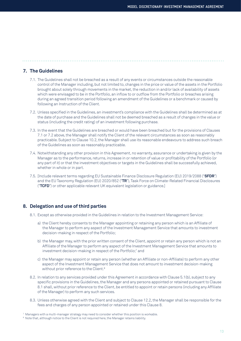## **7. The Guidelines**

- 7.1. The Guidelines shall not be breached as a result of any events or circumstances outside the reasonable control of the Manager including, but not limited to, changes in the price or value of the assets in the Portfolio brought about solely through movements in the market, the reduction in and/or lack of availability of assets which were envisaged to be in the Portfolio, an inflow to or outflow from the Portfolio or breaches arising during an agreed transition period following an amendment of the Guidelines or a benchmark or caused by following an Instruction of the Client.
- 7.2. Unless specified in the Guidelines, an investment's compliance with the Guidelines shall be determined as at the date of purchase and the Guidelines shall not be deemed breached as a result of changes in the value or status (including the credit rating) of an investment following purchase.
- 7.3. In the event that the Guidelines are breached or would have been breached but for the provisions of Clauses 7.1 or 7.2 above, the Manager shall notify the Client of the relevant circumstances as soon as reasonably practicable. Subject to Clause 10.2, the Manager shall use its reasonable endeavours to address such breach of the Guidelines as soon as reasonably practicable.
- 7.4. Notwithstanding any other provision in this Agreement, no warranty, assurance or undertaking is given by the Manager as to the performance, returns, increase in or retention of value or profitability of the Portfolio (or any part of it) or that the investment objectives or targets in the Guidelines shall be successfully achieved, whether in whole or in part.
- 7.5. [Include relevant terms regarding EU Sustainable Finance Disclosure Regulation (EU) 2019/2088 ("**SFDR**") and the EU Taxonomy Regulation (EU) 2020/852 ("**TR**"), Task Force on Climate-Related Financial Disclosures ("**TCFD**") or other applicable relevant UK equivalent legislation or guidance.]

# **8. Delegation and use of third parties**

- 8.1. Except as otherwise provided in the Guidelines in relation to the Investment Management Service:
	- a) the Client hereby consents to the Manager appointing or retaining any person which is an Affiliate of the Manager to perform any aspect of the Investment Management Service that amounts to investment decision-making in respect of the Portfolio;
	- b) the Manager may, with the prior written consent of the Client, appoint or retain any person which is not an Affiliate of the Manager to perform any aspect of the Investment Management Service that amounts to investment decision-making in respect of the Portfolio;<sup>7</sup> and
	- c) the Manager may appoint or retain any person (whether an Affiliate or non-Affiliate) to perform any other aspect of the Investment Management Service that does not amount to investment decision-making without prior reference to the Client.<sup>8</sup>
- 8.2. In relation to any services provided under this Agreement in accordance with Clause 5.1(b), subject to any specific provisions in the Guidelines, the Manager and any persons appointed or retained pursuant to Clause 8.1 shall, without prior reference to the Client, be entitled to appoint or retain persons (including any Affiliate of the Manager) to perform any such services.
- 8.3. Unless otherwise agreed with the Client and subject to Clause 12.2, the Manager shall be responsible for the fees and charges of any person appointed or retained under this Clause 8.

 $^\tau$  Managers with a multi-manager strategy may need to consider whether this position is workable.

 $^{\text{\tiny{\textregistered}}}$  Note that, although notice to the Client is not required here, the Manager retains liability.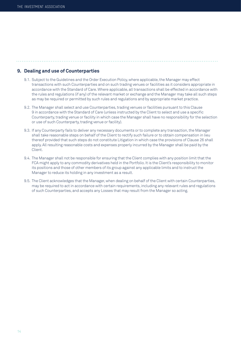# **9. Dealing and use of Counterparties**

 9.1. Subject to the Guidelines and the Order Execution Policy, where applicable, the Manager may effect transactions with such Counterparties and on such trading venues or facilities as it considers appropriate in accordance with the Standard of Care. Where applicable, all transactions shall be effected in accordance with the rules and regulations (if any) of the relevant market or exchange and the Manager may take all such steps as may be required or permitted by such rules and regulations and by appropriate market practice.

- 9.2. The Manager shall select and use Counterparties, trading venues or facilities pursuant to this Clause 9 in accordance with the Standard of Care (unless instructed by the Client to select and use a specific Counterparty, trading venue or facility in which case the Manager shall have no responsibility for the selection or use of such Counterparty, trading venue or facility).
- 9.3. If any Counterparty fails to deliver any necessary documents or to complete any transaction, the Manager shall take reasonable steps on behalf of the Client to rectify such failure or to obtain compensation in lieu thereof provided that such steps do not constitute Litigation in which case the provisions of Clause 26 shall apply. All resulting reasonable costs and expenses properly incurred by the Manager shall be paid by the Client.
- 9.4. The Manager shall not be responsible for ensuring that the Client complies with any position limit that the FCA might apply to any commodity derivatives held in the Portfolio. It is the Client's responsibility to monitor its positions and those of other members of its group against any applicable limits and to instruct the Manager to reduce its holding in any investment as a result.
- 9.5. The Client acknowledges that the Manager, when dealing on behalf of the Client with certain Counterparties, may be required to act in accordance with certain requirements, including any relevant rules and regulations of such Counterparties, and accepts any Losses that may result from the Manager so acting.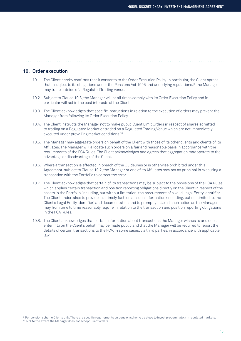# **10. Order execution**

- 10.1. The Client hereby confirms that it consents to the Order Execution Policy. In particular, the Client agrees that [, subject to its obligations under the Pensions Act 1995 and underlying regulations,]<sup>9</sup> the Manager may trade outside of a Regulated Trading Venue.
- 10.2. Subject to Clause 10.3, the Manager will at all times comply with its Order Execution Policy and in particular will act in the best interests of the Client.
- 10.3. The Client acknowledges that specific Instructions in relation to the execution of orders may prevent the Manager from following its Order Execution Policy.
- 10.4. The Client instructs the Manager not to make public Client Limit Orders in respect of shares admitted to trading on a Regulated Market or traded on a Regulated Trading Venue which are not immediately executed under prevailing market conditions.10
- 10.5. The Manager may aggregate orders on behalf of the Client with those of its other clients and clients of its Affiliates. The Manager will allocate such orders on a fair and reasonable basis in accordance with the requirements of the FCA Rules. The Client acknowledges and agrees that aggregation may operate to the advantage or disadvantage of the Client.
- 10.6. Where a transaction is effected in breach of the Guidelines or is otherwise prohibited under this Agreement, subject to Clause 10.2, the Manager or one of its Affiliates may act as principal in executing a transaction with the Portfolio to correct the error.
- 10.7. The Client acknowledges that certain of its transactions may be subject to the provisions of the FCA Rules, which applies certain transaction and position reporting obligations directly on the Client in respect of the assets in the Portfolio, including, but without limitation, the procurement of a valid Legal Entity Identifier. The Client undertakes to provide in a timely fashion all such information (including, but not limited to, the Client's Legal Entity Identifier) and documentation and to promptly take all such action as the Manager may from time to time reasonably require in relation to the transaction and position reporting obligations in the FCA Rules.
- 10.8. The Client acknowledges that certain information about transactions the Manager wishes to and does enter into on the Client's behalf may be made public and that the Manager will be required to report the details of certain transactions to the FCA, in some cases, via third parties, in accordance with applicable law.

 $^{\rm 9}$  For pension scheme Clients only. There are specific requirements on pension scheme trustees to invest predominately in regulated markets.

<sup>10</sup> N/A to the extent the Manager does not accept Client orders.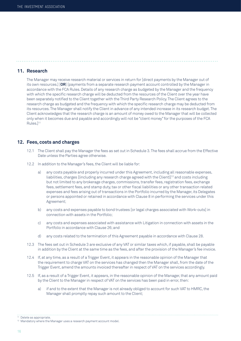### **11. Research**

 The Manager may receive research material or services in return for [direct payments by the Manager out of its own resources.] [**OR**] [payments from a separate research payment account controlled by the Manager in accordance with the FCA Rules. Details of any research charge as budgeted by the Manager and the frequency with which the specific research charge will be deducted from the resources of the Client over the year have been separately notified to the Client together with the Third Party Research Policy. The Client agrees to the research charge as budgeted and the frequency with which the specific research charge may be deducted from its resources. The Manager shall notify the Client in advance of any intended increase in its research budget. The Client acknowledges that the research charge is an amount of money owed to the Manager that will be collected only when it becomes due and payable and accordingly will not be "client money" for the purposes of the FCA Rules.<sup>11</sup>

#### **12. Fees, costs and charges**

- 12.1 The Client shall pay the Manager the fees as set out in Schedule 3. The fees shall accrue from the Effective Date unless the Parties agree otherwise.
- 12.2 In addition to the Manager's fees, the Client will be liable for:
	- a) any costs payable and properly incurred under this Agreement, including all reasonable expenses, liabilities, charges [(including any research charge agreed with the Client)]12 and costs including but not limited to any brokerage charges, commissions, transfer fees, registration fees, exchange fees, settlement fees, and stamp duty, tax or other fiscal liabilities or any other transaction related expenses and fees arising out of transactions in the Portfolio incurred by the Manager, its Delegates or persons appointed or retained in accordance with Clause 8 in performing the services under this Agreement;
	- b) any costs and expenses payable to bond trustees [or legal charges associated with Work-outs] in connection with assets in the Portfolio;
	- c) any costs and expenses associated with assistance with Litigation in connection with assets in the Portfolio in accordance with Clause 26; and
	- d) any costs related to the termination of this Agreement payable in accordance with Clause 28.
- 12.3 The fees set out in Schedule 3 are exclusive of any VAT or similar taxes which, if payable, shall be payable in addition by the Client at the same time as the fees, and after the provision of the Manager's fee invoice.
- 12.4 If, at any time, as a result of a Trigger Event, it appears in the reasonable opinion of the Manager that the requirement to charge VAT on the services has changed then the Manager shall, from the date of the Trigger Event, amend the amounts invoiced thereafter in respect of VAT on the services accordingly.
- 12.5 If, as a result of a Trigger Event, it appears, in the reasonable opinion of the Manager, that any amount paid by the Client to the Manager in respect of VAT on the services has been paid in error, then:
	- a) if and to the extent that the Manager is not already obliged to account for such VAT to HMRC, the Manager shall promptly repay such amount to the Client;

<sup>11</sup> Delete as appropriate.

<sup>&</sup>lt;sup>12</sup> Mandatory where the Manager uses a research payment account model.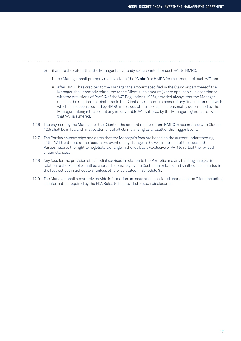- b) if and to the extent that the Manager has already so accounted for such VAT to HMRC:
	- i. the Manager shall promptly make a claim (the "**Claim**") to HMRC for the amount of such VAT; and
	- ii. after HMRC has credited to the Manager the amount specified in the Claim or part thereof, the Manager shall promptly reimburse to the Client such amount (where applicable, in accordance with the provisions of Part VA of the VAT Regulations 1995), provided always that the Manager shall not be required to reimburse to the Client any amount in excess of any final net amount with which it has been credited by HMRC in respect of the services (as reasonably determined by the Manager) taking into account any irrecoverable VAT suffered by the Manager regardless of when that VAT is suffered.
- 12.6 The payment by the Manager to the Client of the amount received from HMRC in accordance with Clause 12.5 shall be in full and final settlement of all claims arising as a result of the Trigger Event.
- 12.7 The Parties acknowledge and agree that the Manager's fees are based on the current understanding of the VAT treatment of the fees. In the event of any change in the VAT treatment of the fees, both Parties reserve the right to negotiate a change in the fee basis (exclusive of VAT) to reflect the revised circumstances.
- 12.8 Any fees for the provision of custodial services in relation to the Portfolio and any banking charges in relation to the Portfolio shall be charged separately by the Custodian or bank and shall not be included in the fees set out in Schedule 3 (unless otherwise stated in Schedule 3).
- 12.9 The Manager shall separately provide information on costs and associated charges to the Client including all information required by the FCA Rules to be provided in such disclosures.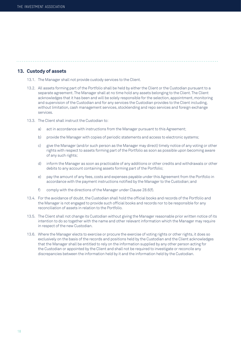#### **13. Custody of assets**

- 13.1. The Manager shall not provide custody services to the Client.
- 13.2. All assets forming part of the Portfolio shall be held by either the Client or the Custodian pursuant to a separate agreement. The Manager shall at no time hold any assets belonging to the Client. The Client acknowledges that it has been and will be solely responsible for the selection, appointment, monitoring and supervision of the Custodian and for any services the Custodian provides to the Client including, without limitation, cash management services, stocklending and repo services and foreign exchange services.

- 13.3. The Client shall instruct the Custodian to:
	- a) act in accordance with instructions from the Manager pursuant to this Agreement;
	- b) provide the Manager with copies of periodic statements and access to electronic systems;
	- c) give the Manager (and/or such person as the Manager may direct) timely notice of any voting or other rights with respect to assets forming part of the Portfolio as soon as possible upon becoming aware of any such rights;
	- d) inform the Manager as soon as practicable of any additions or other credits and withdrawals or other debits to any account containing assets forming part of the Portfolio;
	- e) pay the amount of any fees, costs and expenses payable under this Agreement from the Portfolio in accordance with the payment instructions notified by the Manager to the Custodian; and
	- f) comply with the directions of the Manager under Clause 28.6(f).
- 13.4. For the avoidance of doubt, the Custodian shall hold the official books and records of the Portfolio and the Manager is not engaged to provide such official books and records nor to be responsible for any reconciliation of assets in relation to the Portfolio.
- 13.5. The Client shall not change its Custodian without giving the Manager reasonable prior written notice of its intention to do so together with the name and other relevant information which the Manager may require in respect of the new Custodian.
- 13.6. Where the Manager elects to exercise or procure the exercise of voting rights or other rights, it does so exclusively on the basis of the records and positions held by the Custodian and the Client acknowledges that the Manager shall be entitled to rely on the information supplied by any other person acting for the Custodian or appointed by the Client and shall not be required to investigate or reconcile any discrepancies between the information held by it and the information held by the Custodian.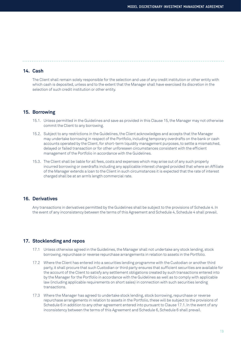#### **14. Cash**

 The Client shall remain solely responsible for the selection and use of any credit institution or other entity with which cash is deposited, unless and to the extent that the Manager shall have exercised its discretion in the selection of such credit institution or other entity.

#### **15. Borrowing**

- 15.1. Unless permitted in the Guidelines and save as provided in this Clause 15, the Manager may not otherwise commit the Client to any borrowing.
- 15.2. Subject to any restrictions in the Guidelines, the Client acknowledges and accepts that the Manager may undertake borrowing in respect of the Portfolio, including temporary overdrafts on the bank or cash accounts operated by the Client, for short-term liquidity management purposes, to settle a mismatched, delayed or failed transaction or for other unforeseen circumstances consistent with the efficient management of the Portfolio in accordance with the Guidelines.
- 15.3. The Client shall be liable for all fees, costs and expenses which may arise out of any such properly incurred borrowing or overdrafts including any applicable interest charged provided that where an Affiliate of the Manager extends a loan to the Client in such circumstances it is expected that the rate of interest charged shall be at an arm's length commercial rate.

#### **16. Derivatives**

 Any transactions in derivatives permitted by the Guidelines shall be subject to the provisions of Schedule 4. In the event of any inconsistency between the terms of this Agreement and Schedule 4, Schedule 4 shall prevail.

#### **17. Stocklending and repos**

- 17.1 Unless otherwise agreed in the Guidelines, the Manager shall not undertake any stock lending, stock borrowing, repurchase or reverse repurchase arrangements in relation to assets in the Portfolio.
- 17.2 Where the Client has entered into a securities lending programme with the Custodian or another third party, it shall procure that such Custodian or third party ensures that sufficient securities are available for the account of the Client to satisfy any settlement obligations created by such transactions entered into by the Manager for the Portfolio in accordance with the Guidelines as well as to comply with applicable law (including applicable requirements on short sales) in connection with such securities lending transactions.
- 17.3 Where the Manager has agreed to undertake stock lending, stock borrowing, repurchase or reverse repurchase arrangements in relation to assets in the Portfolio, these will be subject to the provisions of Schedule 6 in addition to any other agreement entered into pursuant to Clause 17.1. In the event of any inconsistency between the terms of this Agreement and Schedule 6, Schedule 6 shall prevail.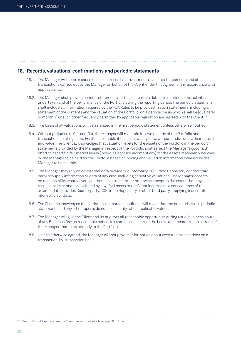# **18. Records, valuations, confirmations and periodic statements**

- 18.1. The Manager will keep or cause to be kept records of investments, sales, disbursements and other transactions carried out by the Manager on behalf of the Client under this Agreement in accordance with applicable law.
- 18.2. The Manager shall provide periodic statements setting out certain details in relation to the activities undertaken and of the performance of the Portfolio during the reporting period. The periodic statement shall include all information required by the FCA Rules to be provided in such statements, including a statement of the contents and the valuation of the Portfolio, on a periodic basis which shall be [quarterly or monthly] or such other frequency permitted by applicable regulation and agreed with the Client.13
- 18.3. The basis of all valuations will be as stated in the first periodic statement unless otherwise notified.
- 18.4. Without prejudice to Clause 13.4, the Manager will maintain its own records of the Portfolio and transactions relating to the Portfolio to enable it to assess at any date, without undue delay, their nature and value. The Client acknowledges that valuation levels for the assets of the Portfolio in the periodic statements provided by the Manager in respect of the Portfolio shall reflect the Manager's good faith effort to ascertain fair market levels (including accrued income, if any) for the assets reasonably believed by the Manager to be held for the Portfolio based on pricing and valuation information believed by the Manager to be reliable.
- 18.5. The Manager may rely on an external data provider, Counterparty, CCP, Trade Repository or other third party to supply information or data of any kind, including derivative valuations. The Manager accepts no responsibility whatsoever (whether in contract, tort or otherwise, except to the extent that any such responsibility cannot be excluded by law) for Losses to the Client incurred as a consequence of the external data provider, Counterparty, CCP, Trade Repository or other third party supplying inaccurate information or data.
- 18.6. The Client acknowledges that variations in market conditions will mean that the prices shown in periodic statements and any other reports do not necessarily reflect realisable values.
- 18.7. The Manager will give the Client and its auditors all reasonable opportunity, during usual business hours of any Business Day on reasonable notice, to examine such part of the books and records (or an extract) of the Manager that relate directly to the Portfolio.
- 18.8. Unless otherwise agreed, the Manager will not provide information about executed transactions on a transaction-by-transaction basis.

13 "Monthly" would apply where the Client has authorised a leveraged Portfolio.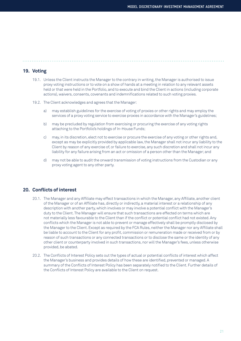# **19. Voting**

 19.1. Unless the Client instructs the Manager to the contrary in writing, the Manager is authorised to issue proxy voting instructions or to vote on a show of hands at a meeting in relation to any relevant assets held or that were held in the Portfolio, and to execute and bind the Client in actions (including corporate actions), waivers, consents, covenants and indemnifications related to such voting proxies.

- 19.2. The Client acknowledges and agrees that the Manager:
	- a) may establish guidelines for the exercise of voting of proxies or other rights and may employ the services of a proxy voting service to exercise proxies in accordance with the Manager's guidelines;
	- b) may be precluded by regulation from exercising or procuring the exercise of any voting rights attaching to the Portfolio's holdings of In-House Funds;
	- c) may, in its discretion, elect not to exercise or procure the exercise of any voting or other rights and, except as may be explicitly provided by applicable law, the Manager shall not incur any liability to the Client by reason of any exercise of, or failure to exercise, any such discretion and shall not incur any liability for any failure arising from an act or omission of a person other than the Manager; and
	- d) may not be able to audit the onward transmission of voting instructions from the Custodian or any proxy voting agent to any other party.

#### **20. Conflicts of interest**

- 20.1. The Manager and any Affiliate may effect transactions in which the Manager, any Affiliate, another client of the Manager or of an Affiliate has, directly or indirectly, a material interest or a relationship of any description with another party, which involves or may involve a potential conflict with the Manager's duty to the Client. The Manager will ensure that such transactions are effected on terms which are not materially less favourable to the Client than if the conflict or potential conflict had not existed. Any conflicts which the Manager is not able to prevent or manage effectively shall be promptly disclosed by the Manager to the Client. Except as required by the FCA Rules, neither the Manager nor any Affiliate shall be liable to account to the Client for any profit, commission or remuneration made or received from or by reason of such transactions or any connected transactions or to disclose the same or the identity of any other client or counterparty involved in such transactions, nor will the Manager's fees, unless otherwise provided, be abated.
- 20.2. The Conflicts of Interest Policy sets out the types of actual or potential conflicts of interest which affect the Manager's business and provides details of how these are identified, prevented or managed. A summary of the Conflicts of Interest Policy has been separately notified to the Client. Further details of the Conflicts of Interest Policy are available to the Client on request.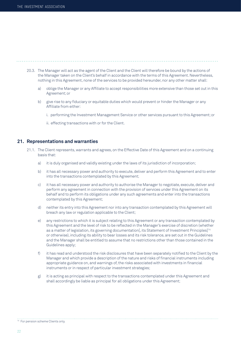- 20.3. The Manager will act as the agent of the Client and the Client will therefore be bound by the actions of the Manager taken on the Client's behalf in accordance with the terms of this Agreement. Nevertheless, nothing in this Agreement, none of the services to be provided hereunder, nor any other matter shall:
	- a) oblige the Manager or any Affiliate to accept responsibilities more extensive than those set out in this Agreement; or
	- b) give rise to any fiduciary or equitable duties which would prevent or hinder the Manager or any Affiliate from either:
		- i. performing the Investment Management Service or other services pursuant to this Agreement; or
		- ii. effecting transactions with or for the Client.

#### **21. Representations and warranties**

- 21.1. The Client represents, warrants and agrees, on the Effective Date of this Agreement and on a continuing basis that:
	- a) it is duly organised and validly existing under the laws of its jurisdiction of incorporation;
	- b) it has all necessary power and authority to execute, deliver and perform this Agreement and to enter into the transactions contemplated by this Agreement;
	- c) it has all necessary power and authority to authorise the Manager to negotiate, execute, deliver and perform any agreement in connection with the provision of services under this Agreement on its behalf and to perform its obligations under any such agreements and enter into the transactions contemplated by this Agreement;
	- d) neither its entry into this Agreement nor into any transaction contemplated by this Agreement will breach any law or regulation applicable to the Client;
	- e) any restrictions to which it is subject relating to this Agreement or any transaction contemplated by this Agreement and the level of risk to be reflected in the Manager's exercise of discretion (whether as a matter of legislation, its governing documentation[, its Statement of Investment Principles]<sup>14</sup> or otherwise), including its ability to bear losses and its risk tolerance, are set out in the Guidelines and the Manager shall be entitled to assume that no restrictions other than those contained in the Guidelines apply;
	- f) it has read and understood the risk disclosures that have been separately notified to the Client by the Manager and which provide a description of the nature and risks of financial instruments including appropriate guidance on, and warnings of, the risks associated with investments in financial instruments or in respect of particular investment strategies;
	- g) it is acting as principal with respect to the transactions contemplated under this Agreement and shall accordingly be liable as principal for all obligations under this Agreement;

<sup>&</sup>lt;sup>14</sup> For pension scheme Clients only.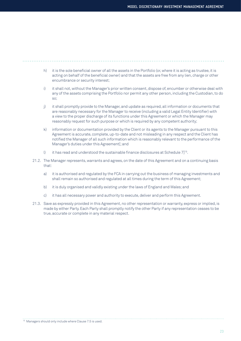- h) it is the sole beneficial owner of all the assets in the Portfolio (or, where it is acting as trustee, it is acting on behalf of the beneficial owner) and that the assets are free from any lien, charge or other encumbrance or security interest;
- i) it shall not, without the Manager's prior written consent, dispose of, encumber or otherwise deal with any of the assets comprising the Portfolio nor permit any other person, including the Custodian, to do so;
- j) it shall promptly provide to the Manager, and update as required, all information or documents that are reasonably necessary for the Manager to receive (including a valid Legal Entity Identifier) with a view to the proper discharge of its functions under this Agreement or which the Manager may reasonably request for such purpose or which is required by any competent authority;
- k) information or documentation provided by the Client or its agents to the Manager pursuant to this Agreement is accurate, complete, up-to-date and not misleading in any respect and the Client has notified the Manager of all such information which is reasonably relevant to the performance of the Manager's duties under this Agreement[; and
- l) it has read and understood the sustainable finance disclosures at Schedule  $71^{15}$ .
- 21.2. The Manager represents, warrants and agrees, on the date of this Agreement and on a continuing basis that:
	- a) it is authorised and regulated by the FCA in carrying out the business of managing investments and shall remain so authorised and regulated at all times during the term of this Agreement;
	- b) it is duly organised and validly existing under the laws of England and Wales; and
	- c) it has all necessary power and authority to execute, deliver and perform this Agreement.
- 21.3. Save as expressly provided in this Agreement, no other representation or warranty, express or implied, is made by either Party. Each Party shall promptly notify the other Party if any representation ceases to be true, accurate or complete in any material respect.

15 Managers should only include where Clause 7.5 is used.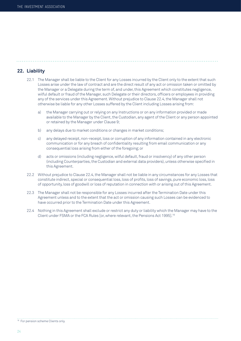# **22. Liability**

- 22.1 The Manager shall be liable to the Client for any Losses incurred by the Client only to the extent that such Losses arise under the law of contract and are the direct result of any act or omission taken or omitted by the Manager or a Delegate during the term of, and under, this Agreement which constitutes negligence, wilful default or fraud of the Manager, such Delegate or their directors, officers or employees in providing any of the services under this Agreement. Without prejudice to Clause 22.4, the Manager shall not otherwise be liable for any other Losses suffered by the Client including Losses arising from:
	- a) the Manager carrying out or relying on any Instructions or on any information provided or made available to the Manager by the Client, the Custodian, any agent of the Client or any person appointed or retained by the Manager under Clause 9;

- b) any delays due to market conditions or changes in market conditions;
- c) any delayed receipt, non-receipt, loss or corruption of any information contained in any electronic communication or for any breach of confidentiality resulting from email communication or any consequential loss arising from either of the foregoing; or
- d) acts or omissions (including negligence, wilful default, fraud or insolvency) of any other person (including Counterparties, the Custodian and external data providers), unless otherwise specified in this Agreement.
- 22.2 Without prejudice to Clause 22.4, the Manager shall not be liable in any circumstances for any Losses that constitute indirect, special or consequential loss, loss of profits, loss of savings, pure economic loss, loss of opportunity, loss of goodwill or loss of reputation in connection with or arising out of this Agreement.
- 22.3 The Manager shall not be responsible for any Losses incurred after the Termination Date under this Agreement unless and to the extent that the act or omission causing such Losses can be evidenced to have occurred prior to the Termination Date under this Agreement.
- 22.4 Nothing in this Agreement shall exclude or restrict any duty or liability which the Manager may have to the Client under FSMA or the FCA Rules [or, where relevant, the Pensions Act 1995].16

<sup>&</sup>lt;sup>16</sup> For pension scheme Clients only.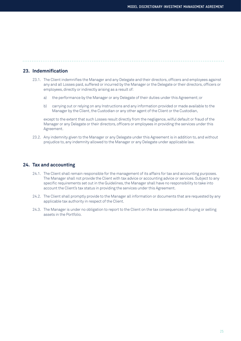# **23. Indemnification**

- 23.1. The Client indemnifies the Manager and any Delegate and their directors, officers and employees against any and all Losses paid, suffered or incurred by the Manager or the Delegate or their directors, officers or employees, directly or indirectly arising as a result of:
	- a) the performance by the Manager or any Delegate of their duties under this Agreement; or
	- b) carrying out or relying on any Instructions and any information provided or made available to the Manager by the Client, the Custodian or any other agent of the Client or the Custodian,

 except to the extent that such Losses result directly from the negligence, wilful default or fraud of the Manager or any Delegate or their directors, officers or employees in providing the services under this Agreement.

23.2. Any indemnity given to the Manager or any Delegate under this Agreement is in addition to, and without prejudice to, any indemnity allowed to the Manager or any Delegate under applicable law.

### **24. Tax and accounting**

- 24.1. The Client shall remain responsible for the management of its affairs for tax and accounting purposes. The Manager shall not provide the Client with tax advice or accounting advice or services. Subject to any specific requirements set out in the Guidelines, the Manager shall have no responsibility to take into account the Client's tax status in providing the services under this Agreement.
- 24.2. The Client shall promptly provide to the Manager all information or documents that are requested by any applicable tax authority in respect of the Client.
- 24.3. The Manager is under no obligation to report to the Client on the tax consequences of buying or selling assets in the Portfolio.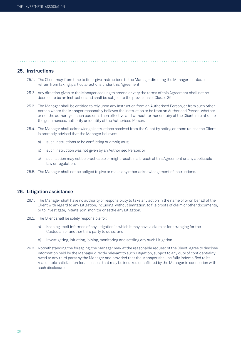## **25. Instructions**

- 25.1. The Client may, from time to time, give Instructions to the Manager directing the Manager to take, or refrain from taking, particular actions under this Agreement.
- 25.2. Any direction given to the Manager seeking to amend or vary the terms of this Agreement shall not be deemed to be an Instruction and shall be subject to the provisions of Clause 39.
- 25.3. The Manager shall be entitled to rely upon any Instruction from an Authorised Person, or from such other person where the Manager reasonably believes the Instruction to be from an Authorised Person, whether or not the authority of such person is then effective and without further enquiry of the Client in relation to the genuineness, authority or identity of the Authorised Person.
- 25.4. The Manager shall acknowledge Instructions received from the Client by acting on them unless the Client is promptly advised that the Manager believes:
	- a) such Instructions to be conflicting or ambiguous;
	- b) such Instruction was not given by an Authorised Person; or
	- c) such action may not be practicable or might result in a breach of this Agreement or any applicable law or regulation.
- 25.5. The Manager shall not be obliged to give or make any other acknowledgement of Instructions.

#### **26. Litigation assistance**

- 26.1. The Manager shall have no authority or responsibility to take any action in the name of or on behalf of the Client with regard to any Litigation, including, without limitation, to file proofs of claim or other documents, or to investigate, initiate, join, monitor or settle any Litigation.
- 26.2. The Client shall be solely responsible for:
	- a) keeping itself informed of any Litigation in which it may have a claim or for arranging for the Custodian or another third party to do so; and
	- b) investigating, initiating, joining, monitoring and settling any such Litigation.
- 26.3. Notwithstanding the foregoing, the Manager may, at the reasonable request of the Client, agree to disclose information held by the Manager directly relevant to such Litigation, subject to any duty of confidentiality owed to any third party by the Manager and provided that the Manager shall be fully indemnified to its reasonable satisfaction for all Losses that may be incurred or suffered by the Manager in connection with such disclosure.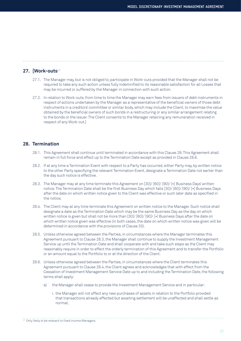# **27. [Work-outs**<sup>17</sup>

- 27.1. The Manager may, but is not obliged to, participate in Work-outs provided that the Manager shall not be required to take any such action unless fully indemnified to its reasonable satisfaction for all Losses that may be incurred or suffered by the Manager in connection with such action.
- 27.2. In relation to Work-outs, from time to time the Manager may earn fees from issuers of debt instruments in respect of actions undertaken by the Manager as a representative of the beneficial owners of those debt instruments in a creditors' committee or similar body, which may include the Client, to maximise the value obtained by the beneficial owners of such bonds in a restructuring or any similar arrangement relating to the bonds or the issuer. The Client consents to the Manager retaining any remuneration received in respect of any Work-out.]

# **28. Termination**

- 28.1. This Agreement shall continue until terminated in accordance with this Clause 28. This Agreement shall remain in full force and effect up to the Termination Date except as provided in Clause 28.6.
- 28.2. If at any time a Termination Event with respect to a Party has occurred, either Party may, by written notice to the other Party specifying the relevant Termination Event, designate a Termination Date not earlier than the day such notice is effective.
- 28.3. The Manager may at any time terminate this Agreement on [30]/ [60]/ [90]/ [•] Business Days' written notice. The Termination Date shall be the first Business Day which falls [30]/ [60]/ [90]/ [•] Business Days after the date on which written notice given to the Client was effective or such later date as specified in the notice.
- 28.4. The Client may at any time terminate this Agreement on written notice to the Manager. Such notice shall designate a date as the Termination Date which may be the same Business Day as the day on which written notice is given but shall not be more than [30]/ [60]/ [90]/ [•] Business Days after the date on which written notice given was effective (in both cases, the date on which written notice was given will be determined in accordance with the provisions of Clause 33).
- 28.5. Unless otherwise agreed between the Parties, in circumstances where the Manager terminates this Agreement pursuant to Clause 28.3, the Manager shall continue to supply the Investment Management Service up until the Termination Date and shall cooperate with and take such steps as the Client may reasonably require in order to effect the orderly termination of this Agreement and to transfer the Portfolio or an amount equal to the Portfolio to or at the direction of the Client.
- 28.6. Unless otherwise agreed between the Parties, in circumstances where the Client terminates this Agreement pursuant to Clause 28.4, the Client agrees and acknowledges that with effect from the Cessation of Investment Management Service Date up to and including the Termination Date, the following terms shall apply:
	- a) the Manager shall cease to provide the Investment Management Service and in particular:
		- i. the Manager will not effect any new purchases of assets in relation to the Portfolio provided that transactions already effected but awaiting settlement will be unaffected and shall settle as normal;

<sup>&</sup>lt;sup>17</sup> Only likely to be relevant to fixed income Managers.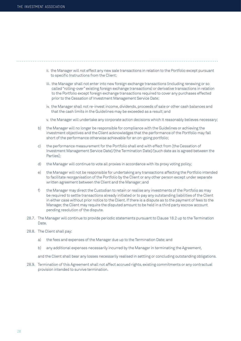- ii. the Manager will not effect any new sale transactions in relation to the Portfolio except pursuant to specific Instructions from the Client;
- iii. the Manager shall not enter into new foreign exchange transactions (including renewing or so called "rolling-over" existing foreign exchange transactions) or derivative transactions in relation to the Portfolio except foreign exchange transactions required to cover any purchases effected prior to the Cessation of Investment Management Service Date;
- iv. the Manager shall not re-invest income, dividends, proceeds of sale or other cash balances and that the cash limits in the Guidelines may be exceeded as a result; and
- v. the Manager will undertake any corporate action decisions which it reasonably believes necessary;
- b) the Manager will no longer be responsible for compliance with the Guidelines or achieving the investment objectives and the Client acknowledges that the performance of the Portfolio may fall short of the performance otherwise achievable for an on-going portfolio;
- c) the performance measurement for the Portfolio shall end with effect from [the Cessation of Investment Management Service Date]/[the Termination Date]/[such date as is agreed between the Parties];
- d) the Manager will continue to vote all proxies in accordance with its proxy voting policy;
- e) the Manager will not be responsible for undertaking any transactions affecting the Portfolio intended to facilitate reorganisation of the Portfolio by the Client or any other person except under separate written agreement between the Client and the Manager; and
- f) the Manager may direct the Custodian to retain or realise any investments of the Portfolio as may be required to settle transactions already initiated or to pay any outstanding liabilities of the Client in either case without prior notice to the Client. If there is a dispute as to the payment of fees to the Manager, the Client may require the disputed amount to be held in a third party escrow account pending resolution of the dispute.
- 28.7. The Manager will continue to provide periodic statements pursuant to Clause 18.2 up to the Termination Date.
- 28.8. The Client shall pay:
	- a) the fees and expenses of the Manager due up to the Termination Date; and
	- b) any additional expenses necessarily incurred by the Manager in terminating the Agreement,

and the Client shall bear any losses necessarily realised in settling or concluding outstanding obligations.

28.9. Termination of this Agreement shall not affect accrued rights, existing commitments or any contractual provision intended to survive termination.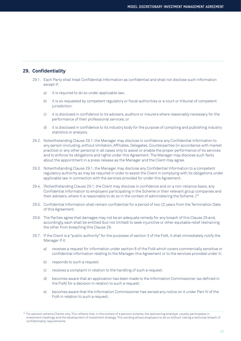# **29. Confidentiality**

- 29.1. Each Party shall treat Confidential Information as confidential and shall not disclose such information except if:
	- a) it is required to do so under applicable law;
	- b) it is so requested by competent regulatory or fiscal authorities or a court or tribunal of competent jurisdiction;
	- c) it is disclosed in confidence to its advisers, auditors or insurers where reasonably necessary for the performance of their professional services; or
	- d) it is disclosed in confidence to its industry body for the purpose of compiling and publishing industry statistics or analysis.
- 29.2. Notwithstanding Clause 29.1, the Manager may disclose in confidence any Confidential Information to any person (including, without limitation, Affiliates, Delegates, Counterparties (in accordance with market practice) or any other persons) in all cases only to assist or enable the proper performance of its services and to enforce its obligations and rights under this Agreement. The Manager may disclose such facts about the appointment in a press release as the Manager and the Client may agree.
- 29.3. Notwithstanding Clause 29.1, the Manager may disclose any Confidential Information to a competent regulatory authority as may be required in order to assist the Client in complying with its obligations under applicable law in connection with the services provided for under this Agreement.
- 29.4. [Notwithstanding Clause 29.1, the Client may disclose in confidence and on a non-reliance basis, any Confidential Information to employers participating in the Scheme or their relevant group companies and their advisers, where it is reasonable to do so in the context of administering the Scheme. ]<sup>18</sup>
- 29.5. Confidential Information shall remain confidential for a period of two (2) years from the Termination Date of this Agreement.
- 29.6. The Parties agree that damages may not be an adequate remedy for any breach of this Clause 29 and, accordingly, each shall be entitled (but not limited) to seek injunctive or other equitable relief restraining the other from breaching this Clause 29.
- 29.7. If the Client is a "public authority" for the purposes of section 3 of the FoIA, it shall immediately notify the Manager if it:
	- a) receives a request for information under section 8 of the FoIA which covers commercially sensitive or confidential information relating to the Manager, this Agreement or to the services provided under it;
	- b) responds to such a request;
	- c) receives a complaint in relation to the handling of such a request;
	- d) becomes aware that an application has been made to the Information Commissioner (as defined in the FoIA) for a decision in relation to such a request;
	- e) becomes aware that the Information Commissioner has served any notice on it under Part IV of the FoIA in relation to such a request;

<sup>&</sup>lt;sup>18</sup> For pension scheme Clients only. This reflects that, in the context of a pension scheme, the sponsoring employer usually participates in investment meetings and the development of investment strategy. This wording allows employers to do so without risking a technical breach of confidentiality requirements.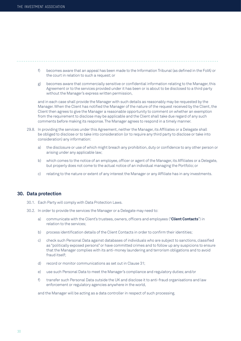- f) becomes aware that an appeal has been made to the Information Tribunal (as defined in the FoIA) or the court in relation to such a request; or
- g) becomes aware that commercially sensitive or confidential information relating to the Manager, this Agreement or to the services provided under it has been or is about to be disclosed to a third party without the Manager's express written permission,

 and in each case shall provide the Manager with such details as reasonably may be requested by the Manager. When the Client has notified the Manager of the nature of the request received by the Client, the Client then agrees to give the Manager a reasonable opportunity to comment on whether an exemption from the requirement to disclose may be applicable and the Client shall take due regard of any such comments before making its response. The Manager agrees to respond in a timely manner.

- 29.8. In providing the services under this Agreement, neither the Manager, its Affiliates or a Delegate shall be obliged to disclose or to take into consideration (or to require any third party to disclose or take into consideration) any information:
	- a) the disclosure or use of which might breach any prohibition, duty or confidence to any other person or arising under any applicable law;
	- b) which comes to the notice of an employee, officer or agent of the Manager, its Affiliates or a Delegate, but properly does not come to the actual notice of an individual managing the Portfolio; or
	- c) relating to the nature or extent of any interest the Manager or any Affiliate has in any investments.

# **30. Data protection**

- 30.1. Each Party will comply with Data Protection Laws.
- 30.2. In order to provide the services the Manager or a Delegate may need to:
	- a) communicate with the Client's trustees, owners, officers and employees ("**Client Contacts**") in relation to the services;
	- b) process identification details of the Client Contacts in order to confirm their identities;
	- c) check such Personal Data against databases of individuals who are subject to sanctions, classified as "politically exposed persons" or have committed crimes and to follow up any suspicions to ensure that the Manager complies with its anti-money laundering and terrorism obligations and to avoid fraud itself;
	- d) record or monitor communications as set out in Clause 31;
	- e) use such Personal Data to meet the Manager's compliance and regulatory duties; and/or
	- f) transfer such Personal Data outside the UK and disclose it to anti-fraud organisations and law enforcement or regulatory agencies anywhere in the world,

and the Manager will be acting as a data controller in respect of such processing.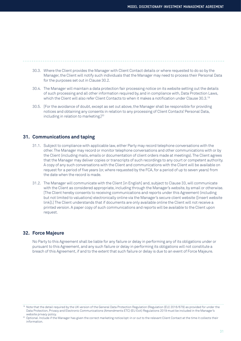- 30.3. Where the Client provides the Manager with Client Contact details or where requested to do so by the Manager, the Client will notify such individuals that the Manager may need to process their Personal Data for the purposes set out in Clause 30.2.
- 30.4. The Manager will maintain a data protection fair processing notice on its website setting out the details of such processing and all other information required by, and in compliance with, Data Protection Laws, which the Client will also refer Client Contacts to when it makes a notification under Clause 30.3.<sup>19</sup>
- 30.5. [For the avoidance of doubt, except as set out above, the Manager shall be responsible for providing notices and obtaining any consents in relation to any processing of Client Contacts' Personal Data, including in relation to marketing.]<sup>20</sup>

### **31. Communications and taping**

- 31.1. Subject to compliance with applicable law, either Party may record telephone conversations with the other. The Manager may record or monitor telephone conversations and other communications with or by the Client (including mails, emails or documentation of client orders made at meetings). The Client agrees that the Manager may deliver copies or transcripts of such recordings to any court or competent authority. A copy of any such conversations with the Client and communications with the Client will be available on request for a period of five years (or, where requested by the FCA, for a period of up to seven years) from the date when the record is made.
- 31.2. The Manager will communicate with the Client [in English] and, subject to Clause 33, will communicate with the Client as considered appropriate, including through the Manager's website, by email or otherwise. [The Client hereby consents to receiving communications and reports under this Agreement (including but not limited to valuations) electronically online via the Manager's secure client website ([insert website link]).] The Client understands that if documents are only available online the Client will not receive a printed version. A paper copy of such communications and reports will be available to the Client upon request.

# **32. Force Majeure**

 No Party to this Agreement shall be liable for any failure or delay in performing any of its obligations under or pursuant to this Agreement, and any such failure or delay in performing its obligations will not constitute a breach of this Agreement, if and to the extent that such failure or delay is due to an event of Force Majeure.

<sup>&</sup>lt;sup>19</sup> Note that the detail required by the UK version of the General Data Protection Regulation (Regulation (EU) 2016/679) as provided for under the Data Protection, Privacy and Electronic Communications (Amendments ETC) (EU Exit) Regulations 2019 must be included in the Manager's website privacy policy.

<sup>20</sup> Optional. Include if the Manager has given the correct marketing notice/opt-in or out to the relevant Client Contact at the time it collects their information.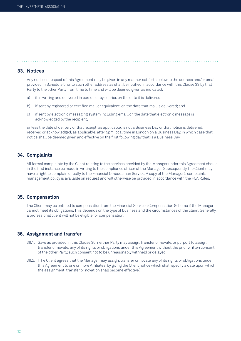# **33. Notices**

 Any notice in respect of this Agreement may be given in any manner set forth below to the address and/or email provided in Schedule 5, or to such other address as shall be notified in accordance with this Clause 33 by that Party to the other Party from time to time and will be deemed given as indicated:

- a) if in writing and delivered in person or by courier, on the date it is delivered;
- b) if sent by registered or certified mail or equivalent, on the date that mail is delivered; and
- c) if sent by electronic messaging system including email, on the date that electronic message is acknowledged by the recipient,

 unless the date of delivery or that receipt, as applicable, is not a Business Day or that notice is delivered, received or acknowledged, as applicable, after 5pm local time in London on a Business Day, in which case that notice shall be deemed given and effective on the first following day that is a Business Day.

# **34. Complaints**

 All formal complaints by the Client relating to the services provided by the Manager under this Agreement should in the first instance be made in writing to the compliance officer of the Manager. Subsequently, the Client may have a right to complain directly to the Financial Ombudsman Service. A copy of the Manager's complaints management policy is available on request and will otherwise be provided in accordance with the FCA Rules.

# **35. Compensation**

 The Client may be entitled to compensation from the Financial Services Compensation Scheme if the Manager cannot meet its obligations. This depends on the type of business and the circumstances of the claim. Generally, a professional client will not be eligible for compensation.

# **36. Assignment and transfer**

- 36.1. Save as provided in this Clause 36, neither Party may assign, transfer or novate, or purport to assign, transfer or novate, any of its rights or obligations under this Agreement without the prior written consent of the other Party, such consent not to be unreasonably withheld or delayed.
- 36.2. [The Client agrees that the Manager may assign, transfer or novate any of its rights or obligations under this Agreement to one or more Affiliates, by giving the Client notice which shall specify a date upon which the assignment, transfer or novation shall become effective.]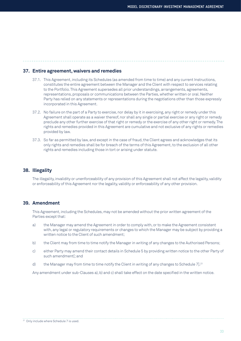# **37. Entire agreement, waivers and remedies**

- 37.1. This Agreement, including its Schedules (as amended from time to time) and any current Instructions, constitutes the entire agreement between the Manager and the Client with respect to services relating to the Portfolio. This Agreement supersedes all prior understandings, arrangements, agreements, representations, proposals or communications between the Parties, whether written or oral. Neither Party has relied on any statements or representations during the negotiations other than those expressly incorporated in this Agreement.
- 37.2. No failure on the part of a Party to exercise, nor delay by it in exercising, any right or remedy under this Agreement shall operate as a waiver thereof, nor shall any single or partial exercise or any right or remedy preclude any other further exercise of that right or remedy or the exercise of any other right or remedy. The rights and remedies provided in this Agreement are cumulative and not exclusive of any rights or remedies provided by law.
- 37.3. So far as permitted by law, and except in the case of fraud, the Client agrees and acknowledges that its only rights and remedies shall be for breach of the terms of this Agreement, to the exclusion of all other rights and remedies including those in tort or arising under statute.

# **38. Illegality**

 The illegality, invalidity or unenforceability of any provision of this Agreement shall not affect the legality, validity or enforceability of this Agreement nor the legality, validity or enforceability of any other provision.

# **39. Amendment**

 This Agreement, including the Schedules, may not be amended without the prior written agreement of the Parties except that:

- a) the Manager may amend the Agreement in order to comply with, or to make the Agreement consistent with, any legal or regulatory requirements or changes to which the Manager may be subject by providing a written notice to the Client of such amendment;
- b) the Client may from time to time notify the Manager in writing of any changes to the Authorised Persons;
- c) either Party may amend their contact details in Schedule 5 by providing written notice to the other Party of such amendment[; and
- d) the Manager may from time to time notify the Client in writing of any changes to Schedule 7].<sup>21</sup>

Any amendment under sub-Clauses a), b) and c) shall take effect on the date specified in the written notice.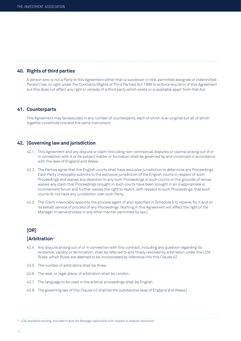# **40. Rights of third parties**

 A person who is not a Party to this Agreement (other than a successor in title, permitted assignee or Indemnified Person) has no right under the Contracts (Rights of Third Parties) Act 1999 to enforce any term of this Agreement but this does not affect any right or remedy of a third party which exists or is available apart from that Act.

#### **41. Counterparts**

 This Agreement may be executed in any number of counterparts, each of which is an original but all of which together constitute one and the same instrument.

### **42. [Governing law and jurisdiction**

- 42.1. This Agreement and any dispute or claim (including non-contractual disputes or claims) arising out of or in connection with it or its subject matter or formation shall be governed by and construed in accordance with the laws of England and Wales.
- 42.2. The Parties agree that the English courts shall have exclusive jurisdiction to determine any Proceedings. Each Party irrevocably submits to the exclusive jurisdiction of the English courts in respect of such Proceedings and waives any objection to any such Proceedings in such courts on the grounds of venue, waives any claim that Proceedings brought in such courts have been brought in an inappropriate or inconvenient forum and further waives the right to object, with respect to such Proceedings, that such courts do not have any jurisdiction over such Party.
- 42.3. The Client irrevocably appoints the process agent (if any) specified in Schedule 5 to receive, for it and on its behalf, service of process of any Proceedings. Nothing in this Agreement will affect the right of the Manager to serve process in any other manner permitted by law.]

# **[OR]**

# **[Arbitration**<sup>22</sup>

- 42.4. Any dispute arising out of or in connection with this contract, including any question regarding its existence, validity or termination, shall be referred to and finally resolved by arbitration under the LCIA Rules, which Rules are deemed to be incorporated by reference into this Clause 42.
- 42.5. The number of arbitrators shall be three.
- 42.6. The seat, or legal place, of arbitration shall be London.
- 42.7. The language to be used in the arbitral proceedings shall be English.
- 42.8. The governing law of this Clause 42 shall be the substantive laws of England and Wales.]

22 LCIA standard wording. Included to give the Manager optionality with respect to dispute resolution.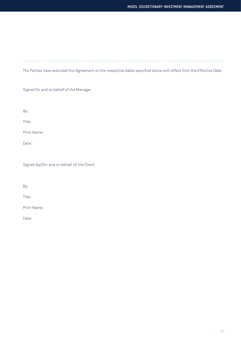. . . . . . . . . . . . . . . . . . . . . . . . . . . . . .  $\ldots$ 

The Parties have executed this Agreement on the respective dates specified below with effect from the Effective Date.

Signed for and on behalf of the Manager

By:

Title:

Print Name:

Date:

Signed [by][for and on behalf of] the Client

By:

Title:

Print Name:

Date: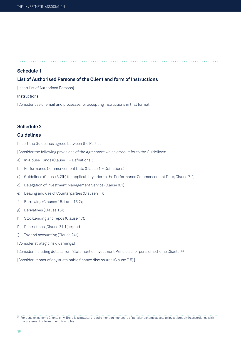**Schedule 1**

# **List of Authorised Persons of the Client and form of Instructions**

[Insert list of Authorised Persons]

#### **Instructions**

[Consider use of email and processes for accepting Instructions in that format]

# **Schedule 2**

### **Guidelines**

[Insert the Guidelines agreed between the Parties.]

[Consider the following provisions of the Agreement which cross-refer to the Guidelines:

- a) In-House Funds (Clause 1 Definitions);
- b) Performance Commencement Date (Clause 1 Definitions);
- c) Guidelines (Clause 3.2(b) for applicability prior to the Performance Commencement Date; Clause 7.2);
- d) Delegation of Investment Management Service (Clause 8.1);
- e) Dealing and use of Counterparties (Clause 9.1);
- f) Borrowing (Clauses 15.1 and 15.2);
- g) Derivatives (Clause 16);
- h) Stocklending and repos (Clause 17);
- i) Restrictions (Clause 21.1(e)); and
- j) Tax and accounting (Clause 24).]
- [Consider strategic risk warnings.]

[Consider including details from Statement of Investment Principles for pension scheme Clients.]23

[Consider impact of any sustainable finance disclosures (Clause 7.5).]

<sup>&</sup>lt;sup>23</sup> For pension scheme Clients only. There is a statutory requirement on managers of pension scheme assets to invest broadly in accordance with the Statement of Investment Principles.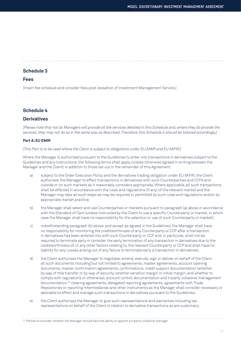#### **Schedule 3**

#### **Fees**

[Insert fee schedule and consider fees post cessation of Investment Management Service.]

#### **Schedule 4**

### **Derivatives**

*[Please note that not all Managers will provide all the services detailed in this Schedule and, where they do provide the services, they may not do so in the same way as described. Therefore, this Schedule 4 should be tailored accordingly.]*

#### **Part A: EU EMIR**

*[This Part is to be used where the Client is subject to obligations under EU EMIR and EU MiFIR.]*

Where the Manager is authorised pursuant to the Guidelines to enter into transactions in derivatives subject to the Guidelines and any Instructions, the following terms shall apply (unless otherwise agreed in writing between the Manager and the Client) in addition to those set out in the remainder of this Agreement:

- a) subject to the Order Execution Policy and the derivatives trading obligation under EU MiFIR, the Client authorises the Manager to effect transactions in derivatives with such Counterparties and CCPs and outside or on such markets as it reasonably considers appropriate. Where applicable, all such transactions shall be effected in accordance with the rules and regulations (if any) of the relevant market and the Manager may take all such steps as may be required or permitted by such rules and regulations and/or by appropriate market practice;
- b) the Manager shall select and use Counterparties or markets pursuant to paragraph (a) above in accordance with the Standard of Care (unless instructed by the Client to use a specific Counterparty or market, in which case the Manager shall have no responsibility for the selection or use of such Counterparty or market);
- c) notwithstanding paragraph (b) above, and except as agreed in the Guidelines, the Manager shall have no responsibility for monitoring the creditworthiness of any Counterparty or CCP after a transaction in derivatives has been entered into with such Counterparty or CCP and, in particular, shall not be required to terminate early or consider the early termination of any transaction in derivatives due to the creditworthiness of, or any other factors relating to, the relevant Counterparty or CCP and shall have no liability for any Losses arising out of any failure to terminate early a transaction in derivatives;
- d) the Client authorises the Manager to negotiate, amend, execute, sign or deliver on behalf of the Client all such documents including but not limited to agreements, master agreements, account opening documents, master confirmation agreements, confirmations, credit support documentation (whether by way of title transfer or by way of security, whether variation margin or initial margin, and whether to comply with regulations or otherwise), account control documentation and triparty collateral management documentation,24 clearing agreements, delegated reporting agreements, agreements with Trade Repositories or reporting intermediaries and other instruments as the Manager shall consider necessary or desirable to effect and manage such transactions in derivatives pursuant to the Guidelines;
- e) the Client authorises the Manager to give such representations and warranties including tax representations on behalf of the Client in relation to derivative transactions as are customary;

<sup>24</sup> Parties to consider whether the Manager should have the ability to appoint a triparty collateral manager.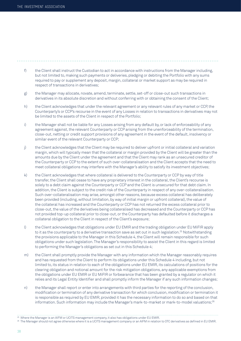- f) the Client shall instruct the Custodian to act in accordance with instructions from the Manager including, but not limited to, making such payments or deliveries, pledging or debiting the Portfolio with any sums required to pay or supplement any deposit, margin, collateral or market support as may be required in respect of transactions in derivatives;
- g) the Manager may allocate, novate, amend, terminate, settle, set-off or close-out such transactions in derivatives in its absolute discretion and without conferring with or obtaining the consent of the Client;
- h) the Client acknowledges that under the relevant agreement or any relevant rules of any market or CCP, the Counterparty's or CCP's recourse in the event of any Losses in relation to transactions in derivatives may not be limited to the assets of the Client in respect of the Portfolio;
- i) the Manager shall not be liable for any Losses arising from any default by, or lack of enforceability of any agreement against, the relevant Counterparty or CCP arising from the unenforceability of the termination, close-out, netting or credit support provisions of any agreement in the event of the default, insolvency or similar event of the relevant Counterparty or CCP;
- j) the Client acknowledges that the Client may be required to deliver upfront or initial collateral and variation margin, which will typically mean that the collateral or margin provided by the Client will be greater than the amounts due by the Client under the agreement and that the Client may rank as an unsecured creditor of the Counterparty or CCP to the extent of such over-collateralisation and the Client accepts that the need to meet collateral obligations may interfere with the Manager's ability to satisfy its investment objectives;
- k) the Client acknowledges that where collateral is delivered to the Counterparty or CCP by way of title transfer, the Client shall cease to have any proprietary interest in the collateral, the Client's recourse is solely to a debt claim against the Counterparty or CCP and the Client is unsecured for that debt claim. In addition, the Client is subject to the credit risk of the Counterparty in respect of any over-collateralisation. Such over-collateralisation may arise, amongst other reasons, because excess collateral has deliberately been provided (including, without limitation, by way of initial margin or upfront collateral), the value of the collateral has increased and the Counterparty or CCP has not returned the excess collateral prior to close-out, the value of the derivatives being collateralised has decreased and the Counterparty or CCP has not provided top-up collateral prior to close-out, or the Counterparty has defaulted before it discharges a collateral obligation to the Client in respect of the Client's exposure;
- l) the Client acknowledges that obligations under EU EMIR and the trading obligation under EU MiFIR apply to it as the counterparty to a derivative transaction save as set out in such legislation.<sup>25</sup> Notwithstanding the provisions applicable to the Manager in this Schedule 4, the Client will remain responsible for such obligations under such legislation. The Manager's responsibility to assist the Client in this regard is limited to performing the Manager's obligations as set out in this Schedule 4;
- m) the Client shall promptly provide the Manager with any information which the Manager reasonably requires and has requested from the Client to perform its obligations under this Schedule 4 including, but not limited to, its status in relation to each of the obligations under EU EMIR, its calculations of positions for the clearing obligation and notional amount for the risk mitigation obligations, any applicable exemptions from the obligations under EU EMIR or EU MiFIR or forbearance that has been granted by a regulator on which it relies and its Legal Entity Identifier and shall promptly inform the Manager if any such information changes;
- n) the Manager shall report or enter into arrangements with third parties for the reporting of the conclusion, modification or termination of any derivative transaction for which conclusion, modification or termination it is responsible as required by EU EMIR, provided it has the necessary information to do so and based on that information. Such information may include the Manager's mark-to-market or mark-to-model valuations;<sup>26</sup>

<sup>26</sup> The Manager should not agree otherwise where it is a UCITS management company or an AIFM in relation to OTC derivatives as defined in EU EMIR.

<sup>25</sup> Where the Manager is an AIFM or UCITS management company, it also has obligations under EU EMIR.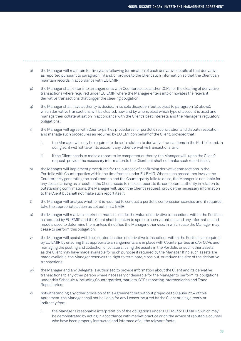- o) the Manager will maintain for five years following termination of each derivative details of that derivative as reported pursuant to paragraph (n) and/or provide to the Client such information so that the Client can maintain records in accordance with EU EMIR;
- p) the Manager shall enter into arrangements with Counterparties and/or CCPs for the clearing of derivative transactions where required under EU EMIR where the Manager enters into or novates the relevant derivative transactions that trigger the clearing obligation;
- q) the Manager shall have authority to decide, in its sole discretion (but subject to paragraph (p) above), which derivative transactions will be cleared, how and by whom, elect which type of account is used and manage their collateralisation in accordance with the Client's best interests and the Manager's regulatory obligations;
- r) the Manager will agree with Counterparties procedures for portfolio reconciliation and dispute resolution and manage such procedures as required by EU EMIR on behalf of the Client, provided that:
	- i. the Manager will only be required to do so in relation to derivative transactions in the Portfolio and, in doing so, it will not take into account any other derivative transactions; and
	- ii. if the Client needs to make a report to its competent authority, the Manager will, upon the Client's request, provide the necessary information to the Client but shall not make such report itself;
- s) the Manager will implement procedures for the purpose of confirming derivative transactions in the Portfolio with Counterparties within the timeframes under EU EMIR. Where such procedures involve the Counterparty generating the confirmation and the Counterparty fails to do so, the Manager is not liable for any Losses arising as a result. If the Client needs to make a report to its competent authority in relation to outstanding confirmations, the Manager will, upon the Client's request, provide the necessary information to the Client but shall not make such report itself;
- t) the Manager will analyse whether it is required to conduct a portfolio compression exercise and, if required, take the appropriate action as set out in EU EMIR;
- u) the Manager will mark-to-market or mark-to-model the value of derivative transactions within the Portfolio as required by EU EMIR and the Client shall be taken to agree to such valuations and any information and models used to determine them unless it notifies the Manager otherwise, in which case the Manager may cease to perform this obligation;
- v) the Manager will assist with the collateralisation of derivative transactions within the Portfolio as required by EU EMIR by ensuring that appropriate arrangements are in place with Counterparties and/or CCPs and managing the posting and collection of collateral using the assets in the Portfolio or such other assets as the Client may have made available for such purpose if required by the Manager. If no such assets are made available, the Manager reserves the right to terminate, close out, or reduce the size of the derivative transactions;
- w) the Manager and any Delegate is authorised to provide information about the Client and its derivative transactions to any other person where necessary or desirable for the Manager to perform its obligations under this Schedule 4 including Counterparties, markets, CCPs reporting intermediaries and Trade Repositories;
- x) notwithstanding any other provision of this Agreement but without prejudice to Clause 22.4 of this Agreement, the Manager shall not be liable for any Losses incurred by the Client arising directly or indirectly from:
	- i. the Manager's reasonable interpretation of the obligations under EU EMIR or EU MiFIR, which may be demonstrated by acting in accordance with market practice or on the advice of reputable counsel who have been properly instructed and informed of all the relevant facts;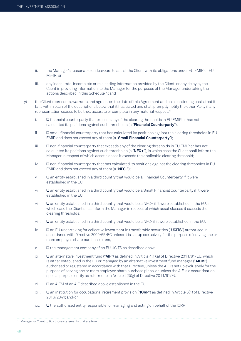- ii. the Manager's reasonable endeavours to assist the Client with its obligations under EU EMIR or EU MiFIR; or
- iii. any inaccurate, incomplete or misleading information provided by the Client, or any delay by the Client in providing information, to the Manager for the purposes of the Manager undertaking the actions described in this Schedule 4; and
- y) the Client represents, warrants and agrees, on the date of this Agreement and on a continuing basis, that it falls within each of the descriptions below that it has ticked and shall promptly notify the other Party if any representation ceases to be true, accurate or complete in any material respect:<sup>27</sup>
	- i. ❏ financial counterparty that exceeds any of the clearing thresholds in EU EMIR or has not calculated its positions against such thresholds (a "**Financial Counterparty**");
	- ii. ❏ small financial counterparty that has calculated its positions against the clearing thresholds in EU EMIR and does not exceed any of them (a "**Small Financial Counterparty**");
	- iii. **□** non-financial counterparty that exceeds any of the clearing thresholds in EU EMIR or has not calculated its positions against such thresholds (a "**NFC+**"), in which case the Client shall inform the Manager in respect of which asset classes it exceeds the applicable clearing threshold;
	- iv. ❏ non-financial counterparty that has calculated its positions against the clearing thresholds in EU EMIR and does not exceed any of them (a "**NFC-**");
	- v. ❏ an entity established in a third country that would be a Financial Counterparty if it were established in the EU;
	- vi. ❏ an entity established in a third country that would be a Small Financial Counterparty if it were established in the EU;
	- vii. ❏ an entity established in a third country that would be a NFC+ if it were established in the EU, in which case the Client shall inform the Manager in respect of which asset classes it exceeds the clearing thresholds;
	- viii. ❏ an entity established in a third country that would be a NFC- if it were established in the EU;
	- ix. ❏ an EU undertaking for collective investment in transferable securities ("**UCITS**") authorised in accordance with Directive 2009/65/EC unless it is set up exclusively for the purpose of serving one or more employee share purchase plans;
	- x. ❏ the management company of an EU UCITS as described above;
	- xi. ❏ an alternative investment fund ("**AIF**") as defined in Article 4(1)(a) of Directive 2011/61/EU, which is either established in the EU or managed by an alternative investment fund manager ("**AIFM**") authorised or registered in accordance with that Directive, unless the AIF is set up exclusively for the purpose of serving one or more employee share purchase plans, or unless the AIF is a securitisation special purpose entity as referred to in Article 2(3)(g) of Directive 2011/61/EU;
	- xii. ❏ an AIFM of an AIF described above established in the EU;
	- xiii. ❏ an institution for occupational retirement provision ("**IORP**") as defined in Article 6(1) of Directive 2016/2341; and/or
	- xiv. ❏ the authorised entity responsible for managing and acting on behalf of the IORP.

<sup>27</sup> Manager or Client to tick those statements that are true.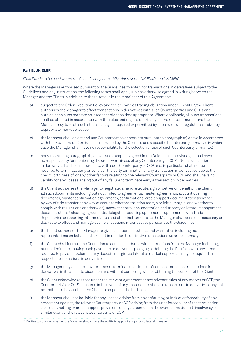#### **Part B: UK EMIR**

*[This Part is to be used where the Client is subject to obligations under UK EMIR and UK MiFIR.]*

Where the Manager is authorised pursuant to the Guidelines to enter into transactions in derivatives subject to the Guidelines and any Instructions, the following terms shall apply (unless otherwise agreed in writing between the Manager and the Client) in addition to those set out in the remainder of this Agreement:

- a) subject to the Order Execution Policy and the derivatives trading obligation under UK MiFIR, the Client authorises the Manager to effect transactions in derivatives with such Counterparties and CCPs and outside or on such markets as it reasonably considers appropriate. Where applicable, all such transactions shall be effected in accordance with the rules and regulations (if any) of the relevant market and the Manager may take all such steps as may be required or permitted by such rules and regulations and/or by appropriate market practice;
- b) the Manager shall select and use Counterparties or markets pursuant to paragraph (a) above in accordance with the Standard of Care (unless instructed by the Client to use a specific Counterparty or market in which case the Manager shall have no responsibility for the selection or use of such Counterparty or market);
- c) notwithstanding paragraph (b) above, and except as agreed in the Guidelines, the Manager shall have no responsibility for monitoring the creditworthiness of any Counterparty or CCP after a transaction in derivatives has been entered into with such Counterparty or CCP and, in particular, shall not be required to terminate early or consider the early termination of any transaction in derivatives due to the creditworthiness of, or any other factors relating to, the relevant Counterparty or CCP and shall have no liability for any Losses arising out of any failure to terminate early a transaction in derivatives;
- d) the Client authorises the Manager to negotiate, amend, execute, sign or deliver on behalf of the Client all such documents including but not limited to agreements, master agreements, account opening documents, master confirmation agreements, confirmations, credit support documentation (whether by way of title transfer or by way of security, whether variation margin or initial margin, and whether to comply with regulations or otherwise), account control documentation and triparty collateral management documentation,28 clearing agreements, delegated reporting agreements, agreements with Trade Repositories or reporting intermediaries and other instruments as the Manager shall consider necessary or desirable to effect and manage such transactions in derivatives pursuant to the Guidelines;
- e) the Client authorises the Manager to give such representations and warranties including tax representations on behalf of the Client in relation to derivative transactions as are customary;
- f) the Client shall instruct the Custodian to act in accordance with instructions from the Manager including, but not limited to, making such payments or deliveries, pledging or debiting the Portfolio with any sums required to pay or supplement any deposit, margin, collateral or market support as may be required in respect of transactions in derivatives;
- g) the Manager may allocate, novate, amend, terminate, settle, set-off or close-out such transactions in derivatives in its absolute discretion and without conferring with or obtaining the consent of the Client;
- h) the Client acknowledges that under the relevant agreement or any relevant rules of any market or CCP, the Counterparty's or CCP's recourse in the event of any Losses in relation to transactions in derivatives may not be limited to the assets of the Client in respect of the Portfolio;
- i) the Manager shall not be liable for any Losses arising from any default by, or lack of enforceability of any agreement against, the relevant Counterparty or CCP arising from the unenforceability of the termination, close-out, netting or credit support provisions of any agreement in the event of the default, insolvency or similar event of the relevant Counterparty or CCP;

<sup>28</sup> Parties to consider whether the Manager should have the ability to appoint a triparty collateral manager.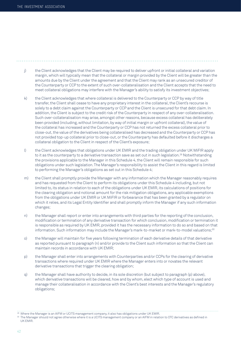- j) the Client acknowledges that the Client may be required to deliver upfront or initial collateral and variation margin, which will typically mean that the collateral or margin provided by the Client will be greater than the amounts due by the Client under the agreement and that the Client may rank as an unsecured creditor of the Counterparty or CCP to the extent of such over-collateralisation and the Client accepts that the need to meet collateral obligations may interfere with the Manager's ability to satisfy its investment objectives;
- k) the Client acknowledges that where collateral is delivered to the Counterparty or CCP by way of title transfer, the Client shall cease to have any proprietary interest in the collateral, the Client's recourse is solely to a debt claim against the Counterparty or CCP and the Client is unsecured for that debt claim. In addition, the Client is subject to the credit risk of the Counterparty in respect of any over-collateralisation. Such over-collateralisation may arise, amongst other reasons, because excess collateral has deliberately been provided (including, without limitation, by way of initial margin or upfront collateral), the value of the collateral has increased and the Counterparty or CCP has not returned the excess collateral prior to close-out, the value of the derivatives being collateralised has decreased and the Counterparty or CCP has not provided top-up collateral prior to close-out, or the Counterparty has defaulted before it discharges a collateral obligation to the Client in respect of the Client's exposure;
- l) the Client acknowledges that obligations under UK EMIR and the trading obligation under UK MiFIR apply to it as the counterparty to a derivative transaction save as set out in such legislation.<sup>29</sup> Notwithstanding the provisions applicable to the Manager in this Schedule 4, the Client will remain responsible for such obligations under such legislation. The Manager's responsibility to assist the Client in this regard is limited to performing the Manager's obligations as set out in this Schedule 4;
- m) the Client shall promptly provide the Manager with any information which the Manager reasonably requires and has requested from the Client to perform its obligations under this Schedule 4 including, but not limited to, its status in relation to each of the obligations under UK EMIR, its calculations of positions for the clearing obligation and notional amount for the risk mitigation obligations, any applicable exemptions from the obligations under UK EMIR or UK MiFIR or forbearance that has been granted by a regulator on which it relies, and its Legal Entity Identifier and shall promptly inform the Manager if any such information changes;
- n) the Manager shall report or enter into arrangements with third parties for the reporting of the conclusion, modification or termination of any derivative transaction for which conclusion, modification or termination it is responsible as required by UK EMIR, provided it has the necessary information to do so and based on that information. Such information may include the Manager's mark-to-market or mark-to-model valuations;<sup>30</sup>
- o) the Manager will maintain for five years following termination of each derivative details of that derivative as reported pursuant to paragraph (n) and/or provide to the Client such information so that the Client can maintain records in accordance with UK EMIR;
- p) the Manager shall enter into arrangements with Counterparties and/or CCPs for the clearing of derivative transactions where required under UK EMIR where the Manager enters into or novates the relevant derivative transactions that trigger the clearing obligation;
- q) the Manager shall have authority to decide, in its sole discretion (but subject to paragraph (p) above), which derivative transactions will be cleared, how and by whom, elect which type of account is used and manage their collateralisation in accordance with the Client's best interests and the Manager's regulatory obligations;

<sup>29</sup> Where the Manager is an AIFM or UCITS management company, it also has obligations under UK EMIR.

<sup>30</sup> The Manager should not agree otherwise where it is a UCITS management company or an AIFM in relation to OTC derivatives as defined in UK EMIR.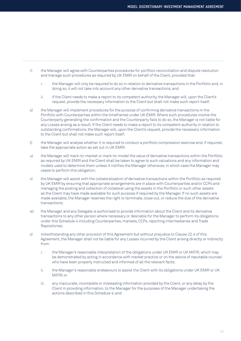- r) the Manager will agree with Counterparties procedures for portfolio reconciliation and dispute resolution and manage such procedures as required by UK EMIR on behalf of the Client, provided that:
	- i. the Manager will only be required to do so in relation to derivative transactions in the Portfolio and, in doing so, it will not take into account any other derivative transactions; and
	- ii. if the Client needs to make a report to its competent authority, the Manager will, upon the Client's request, provide the necessary information to the Client but shall not make such report itself;
- s) the Manager will implement procedures for the purpose of confirming derivative transactions in the Portfolio with Counterparties within the timeframes under UK EMIR. Where such procedures involve the Counterparty generating the confirmation and the Counterparty fails to do so, the Manager is not liable for any Losses arising as a result. If the Client needs to make a report to its competent authority in relation to outstanding confirmations, the Manager will, upon the Client's request, provide the necessary information to the Client but shall not make such report itself;
- t) the Manager will analyse whether it is required to conduct a portfolio compression exercise and, if required, take the appropriate action as set out in UK EMIR;
- u) the Manager will mark-to-market or mark-to-model the value of derivative transactions within the Portfolio as required by UK EMIR and the Client shall be taken to agree to such valuations and any information and models used to determine them unless it notifies the Manager otherwise, in which case the Manager may cease to perform this obligation;
- v) the Manager will assist with the collateralisation of derivative transactions within the Portfolio as required by UK EMIR by ensuring that appropriate arrangements are in place with Counterparties and/or CCPs and managing the posting and collection of collateral using the assets in the Portfolio or such other assets as the Client may have made available for such purpose if required by the Manager. If no such assets are made available, the Manager reserves the right to terminate, close out, or reduce the size of the derivative transactions;
- w) the Manager and any Delegate is authorised to provide information about the Client and its derivative transactions to any other person where necessary or desirable for the Manager to perform its obligations under this Schedule 4 including Counterparties, markets, CCPs, reporting intermediaries and Trade Repositories;
- x) notwithstanding any other provision of this Agreement but without prejudice to Clause 22.4 of this Agreement, the Manager shall not be liable for any Losses incurred by the Client arising directly or indirectly from:
	- i. the Manager's reasonable interpretation of the obligations under UK EMIR or UK MiFIR, which may be demonstrated by acting in accordance with market practice or on the advice of reputable counsel who have been properly instructed and informed of all the relevant facts;
	- ii. the Manager's reasonable endeavours to assist the Client with its obligations under UK EMIR or UK MiFIR; or
	- iii. any inaccurate, incomplete or misleading information provided by the Client, or any delay by the Client in providing information, to the Manager for the purposes of the Manager undertaking the actions described in this Schedule 4; and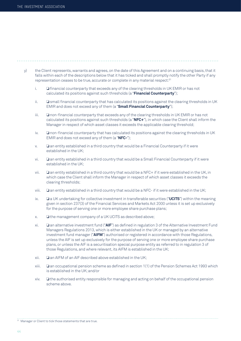- y) the Client represents, warrants and agrees, on the date of this Agreement and on a continuing basis, that it falls within each of the descriptions below that it has ticked and shall promptly notify the other Party if any representation ceases to be true, accurate or complete in any material respect:31
	- i. ❏ financial counterparty that exceeds any of the clearing thresholds in UK EMIR or has not calculated its positions against such thresholds (a "**Financial Counterparty**");
	- ii. ❏ small financial counterparty that has calculated its positions against the clearing thresholds in UK EMIR and does not exceed any of them (a "**Small Financial Counterparty**");
	- iii. ❏ non-financial counterparty that exceeds any of the clearing thresholds in UK EMIR or has not calculated its positions against such thresholds (a "**NFC+**"), in which case the Client shall inform the Manager in respect of which asset classes it exceeds the applicable clearing threshold;
	- iv. ❏ non-financial counterparty that has calculated its positions against the clearing thresholds in UK EMIR and does not exceed any of them (a "**NFC-**");
	- v. ❏ an entity established in a third country that would be a Financial Counterparty if it were established in the UK;
	- vi. ❏ an entity established in a third country that would be a Small Financial Counterparty if it were established in the UK;
	- vii. ❏ an entity established in a third country that would be a NFC+ if it were established in the UK, in which case the Client shall inform the Manager in respect of which asset classes it exceeds the clearing thresholds;
	- viii. ❏ an entity established in a third country that would be a NFC- if it were established in the UK;
	- ix. ❏ a UK undertaking for collective investment in transferable securities ("**UCITS**") within the meaning given in section 237(3) of the Financial Services and Markets Act 2000 unless it is set up exclusively for the purpose of serving one or more employee share purchase plans;
	- x. ❏ the management company of a UK UCITS as described above;
	- xi. ❏ an alternative investment fund ("**AIF**") as defined in regulation 3 of the Alternative Investment Fund Managers Regulations 2013, which is either established in the UK or managed by an alternative investment fund manager ("**AIFM**") authorised or registered in accordance with those Regulations, unless the AIF is set up exclusively for the purpose of serving one or more employee share purchase plans, or unless the AIF is a securitisation special purpose entity as referred to in regulation 3 of those Regulations, and where relevant, its AIFM is established in the UK;
	- xii. ❏ an AIFM of an AIF described above established in the UK;
	- xiii. ❏ an occupational pension scheme as defined in section 1(1) of the Pension Schemes Act 1993 which is established in the UK; and/or
	- xiv. ❏ the authorised entity responsible for managing and acting on behalf of the occupational pension scheme above.

<sup>&</sup>lt;sup>31</sup> Manager or Client to tick those statements that are true.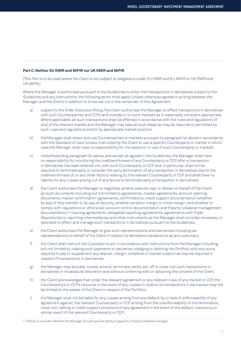#### **Part C: Neither EU EMIR and MiFIR nor UK EMIR and MiFIR**

*[This Part is to be used where the Client is not subject to obligations under EU EMIR and EU MiFIR or UK EMIR and UK MiFIR.]*

Where the Manager is authorised pursuant to the Guidelines to enter into transactions in derivatives subject to the Guidelines and any Instructions, the following terms shall apply (unless otherwise agreed in writing between the Manager and the Client) in addition to those set out in the remainder of this Agreement:

- a) subject to the Order Execution Policy, the Client authorises the Manager to effect transactions in derivatives with such Counterparties and CCPs and outside or on such markets as it reasonably considers appropriate. Where applicable, all such transactions shall be effected in accordance with the rules and regulations (if any) of the relevant market and the Manager may take all such steps as may be required or permitted by such rules and regulations and/or by appropriate market practice;
- b) the Manager shall select and use Counterparties or markets pursuant to paragraph (a) above in accordance with the Standard of Care (unless instructed by the Client to use a specific Counterparty or market in which case the Manager shall have no responsibility for the selection or use of such Counterparty or market);
- c) notwithstanding paragraph (b) above, and except as agreed in the Guidelines, the Manager shall have no responsibility for monitoring the creditworthiness of any Counterparty or CCP after a transaction in derivatives has been entered into with such Counterparty or CCP and, in particular, shall not be required to terminate early or consider the early termination of any transaction in derivatives due to the creditworthiness of, or any other factors relating to, the relevant Counterparty or CCP and shall have no liability for any Losses arising out of any failure to terminate early a transaction in derivatives;
- d) the Client authorises the Manager to negotiate, amend, execute, sign or deliver on behalf of the Client all such documents including but not limited to agreements, master agreements, account opening documents, master confirmation agreements, confirmations, credit support documentation (whether by way of title transfer or by way of security, whether variation margin or initial margin, and whether to comply with regulations or otherwise), account control documentation and triparty collateral management documentation,<sup>32</sup> clearing agreements, delegated reporting agreements, agreements with Trade Repositories or reporting intermediaries and other instruments as the Manager shall consider necessary or desirable to effect and manage such transactions in derivatives pursuant to the Guidelines;
- e) the Client authorises the Manager to give such representations and warranties including tax representations on behalf of the Client in relation to derivative transactions as are customary;
- f) the Client shall instruct the Custodian to act in accordance with instructions from the Manager including, but not limited to, making such payments or deliveries, pledging or debiting the Portfolio with any sums required to pay or supplement any deposit, margin, collateral or market support as may be required in respect of transactions in derivatives;
- g) the Manager may allocate, novate, amend, terminate, settle, set-off or close-out such transactions in derivatives in its absolute discretion and without conferring with or obtaining the consent of the Client;
- h) the Client acknowledges that under the relevant agreement or any relevant rules of any market or CCP, the Counterparty's or CCP's recourse in the event of any Losses in relation to transactions in derivatives may not be limited to the assets of the Client in respect of the Portfolio;
- i) the Manager shall not be liable for any Losses arising from any default by, or lack of enforceability of any agreement against, the relevant Counterparty or CCP arising from the unenforceability of the termination, close-out, netting or credit support provisions of any agreement in the event of the default, insolvency or similar event of the relevant Counterparty or CCP;

<sup>32</sup> Parties to consider whether the Manager should have the ability to appoint a triparty collateral manager.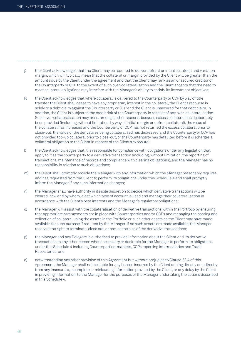- j) the Client acknowledges that the Client may be required to deliver upfront or initial collateral and variation margin, which will typically mean that the collateral or margin provided by the Client will be greater than the amounts due by the Client under the agreement and that the Client may rank as an unsecured creditor of the Counterparty or CCP to the extent of such over-collateralisation and the Client accepts that the need to meet collateral obligations may interfere with the Manager's ability to satisfy its investment objectives;
- k) the Client acknowledges that where collateral is delivered to the Counterparty or CCP by way of title transfer, the Client shall cease to have any proprietary interest in the collateral, the Client's recourse is solely to a debt claim against the Counterparty or CCP and the Client is unsecured for that debt claim. In addition, the Client is subject to the credit risk of the Counterparty in respect of any over-collateralisation. Such over-collateralisation may arise, amongst other reasons, because excess collateral has deliberately been provided (including, without limitation, by way of initial margin or upfront collateral), the value of the collateral has increased and the Counterparty or CCP has not returned the excess collateral prior to close-out, the value of the derivatives being collateralised has decreased and the Counterparty or CCP has not provided top-up collateral prior to close-out, or the Counterparty has defaulted before it discharges a collateral obligation to the Client in respect of the Client's exposure;
- l) the Client acknowledges that it is responsible for compliance with obligations under any legislation that apply to it as the counterparty to a derivative transaction (including, without limitation, the reporting of transactions, maintenance of records and compliance with clearing obligations), and the Manager has no responsibility in relation to such obligations;
- m) the Client shall promptly provide the Manager with any information which the Manager reasonably requires and has requested from the Client to perform its obligations under this Schedule 4 and shall promptly inform the Manager if any such information changes;
- n) the Manager shall have authority in its sole discretion to decide which derivative transactions will be cleared, how and by whom, elect which type of account is used and manage their collateralisation in accordance with the Client's best interests and the Manager's regulatory obligations;
- o) the Manager will assist with the collateralisation of derivative transactions within the Portfolio by ensuring that appropriate arrangements are in place with Counterparties and/or CCPs and managing the posting and collection of collateral using the assets in the Portfolio or such other assets as the Client may have made available for such purpose if required by the Manager. If no such assets are made available, the Manager reserves the right to terminate, close out, or reduce the size of the derivative transactions;
- p) the Manager and any Delegate is authorised to provide information about the Client and its derivative transactions to any other person where necessary or desirable for the Manager to perform its obligations under this Schedule 4 including Counterparties, markets, CCPs reporting intermediaries and Trade Repositories; and
- q) notwithstanding any other provision of this Agreement but without prejudice to Clause 22.4 of this Agreement, the Manager shall not be liable for any Losses incurred by the Client arising directly or indirectly from any inaccurate, incomplete or misleading information provided by the Client, or any delay by the Client in providing information, to the Manager for the purposes of the Manager undertaking the actions described in this Schedule 4.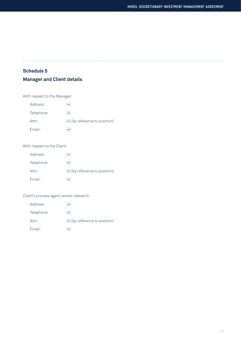# **Schedule 5**

# **Manager and Client details**

With respect to the Manager:

| Address:   | $\lceil \bullet \rceil$                          |
|------------|--------------------------------------------------|
| Telephone: | $ \bullet $                                      |
| Attn:      | $\lceil \cdot \rceil$ [by reference to position] |
| Email:     | ا ہ ا                                            |

# With respect to the Client:

| Address:   | $\lceil \bullet \rceil$        |
|------------|--------------------------------|
| Telephone: | $\vert \bullet \vert$          |
| Attn:      | [•] [by reference to position] |
| Email:     | ا ہ ا                          |

#### Client's process agent (where relevant):

| Address:   | $  \bullet  $                  |
|------------|--------------------------------|
| Telephone: | $\vert \bullet \vert$          |
| Attn:      | [•] [by reference to position] |
| Email:     | ا ہ ا                          |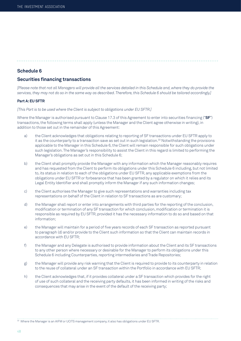### **Schedule 6**

# **Securities financing transactions**

*[Please note that not all Managers will provide all the services detailed in this Schedule and, where they do provide the services, they may not do so in the same way as described. Therefore, this Schedule 6 should be tailored accordingly.]*

#### **Part A: EU SFTR**

*[This Part is to be used where the Client is subject to obligations under EU SFTR.]*

Where the Manager is authorised pursuant to Clause 17.3 of this Agreement to enter into securities financing ("**SF**") transactions, the following terms shall apply (unless the Manager and the Client agree otherwise in writing), in addition to those set out in the remainder of this Agreement:

- a) the Client acknowledges that obligations relating to reporting of SF transactions under EU SFTR apply to it as the counterparty to a transaction save as set out in such legislation.<sup>33</sup> Notwithstanding the provisions applicable to the Manager in this Schedule 6, the Client will remain responsible for such obligations under such legislation. The Manager's responsibility to assist the Client in this regard is limited to performing the Manager's obligations as set out in this Schedule 6;
- b) the Client shall promptly provide the Manager with any information which the Manager reasonably requires and has requested from the Client to perform its obligations under this Schedule 6 including, but not limited to, its status in relation to each of the obligations under EU SFTR, any applicable exemptions from the obligations under EU SFTR or forbearance that has been granted by a regulator on which it relies and its Legal Entity Identifier and shall promptly inform the Manager if any such information changes;
- c) the Client authorises the Manager to give such representations and warranties including tax representations on behalf of the Client in relation to SF transactions as are customary;
- d) the Manager shall report or enter into arrangements with third parties for the reporting of the conclusion, modification or termination of any SF transaction for which conclusion, modification or termination it is responsible as required by EU SFTR, provided it has the necessary information to do so and based on that information;
- e) the Manager will maintain for a period of five years records of each SF transaction as reported pursuant to paragraph (d) and/or provide to the Client such information so that the Client can maintain records in accordance with EU SFTR;
- f) the Manager and any Delegate is authorised to provide information about the Client and its SF transactions to any other person where necessary or desirable for the Manager to perform its obligations under this Schedule 6 including Counterparties, reporting intermediaries and Trade Repositories;
- g) the Manager will provide any risk warning that the Client is required to provide to its counterparty in relation to the reuse of collateral under an SF transaction within the Portfolio in accordance with EU SFTR;
- h) the Client acknowledges that, if it provides collateral under a SF transaction which provides for the right of use of such collateral and the receiving party defaults, it has been informed in writing of the risks and consequences that may arise in the event of the default of the receiving party;

33 Where the Manager is an AIFM or UCITS management company, it also has obligations under EU SFTR.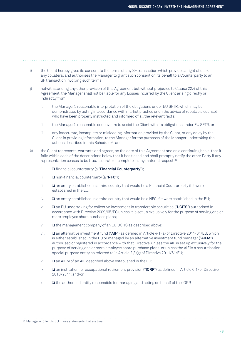- i) the Client hereby gives its consent to the terms of any SF transaction which provides a right of use of any collateral and authorises the Manager to grant such consent on its behalf to a Counterparty to an SF transaction involving such terms;
- j) notwithstanding any other provision of this Agreement but without prejudice to Clause 22.4 of this Agreement, the Manager shall not be liable for any Losses incurred by the Client arising directly or indirectly from:
	- i. the Manager's reasonable interpretation of the obligations under EU SFTR, which may be demonstrated by acting in accordance with market practice or on the advice of reputable counsel who have been properly instructed and informed of all the relevant facts;
	- ii. the Manager's reasonable endeavours to assist the Client with its obligations under EU SFTR; or
	- iii. any inaccurate, incomplete or misleading information provided by the Client, or any delay by the Client in providing information, to the Manager for the purposes of the Manager undertaking the actions described in this Schedule 6; and
- k) the Client represents, warrants and agrees, on the date of this Agreement and on a continuing basis, that it falls within each of the descriptions below that it has ticked and shall promptly notify the other Party if any representation ceases to be true, accurate or complete in any material respect:34
	- i. ❏ financial counterparty (a "**Financial Counterparty**");
	- ii. ❏ non-financial counterparty (a "**NFC**");
	- iii. ❏ an entity established in a third country that would be a Financial Counterparty if it were established in the EU;
	- iv. ❏ an entity established in a third country that would be a NFC if it were established in the EU;
	- v. ❏ an EU undertaking for collective investment in transferable securities ("**UCITS**") authorised in accordance with Directive 2009/65/EC unless it is set up exclusively for the purpose of serving one or more employee share purchase plans;
	- vi. ❏ the management company of an EU UCITS as described above;
	- vii. ❏ an alternative investment fund ("**AIF**") as defined in Article 4(1)(a) of Directive 2011/61/EU, which is either established in the EU or managed by an alternative investment fund manager ("**AIFM**") authorised or registered in accordance with that Directive, unless the AIF is set up exclusively for the purpose of serving one or more employee share purchase plans, or unless the AIF is a securitisation special purpose entity as referred to in Article 2(3)(g) of Directive 2011/61/EU;
	- viii. ❏ an AIFM of an AIF described above established in the EU;
	- ix. ❏ an institution for occupational retirement provision ("**IORP**") as defined in Article 6(1) of Directive 2016/2341; and/or
	- x. ❏ the authorised entity responsible for managing and acting on behalf of the IORP.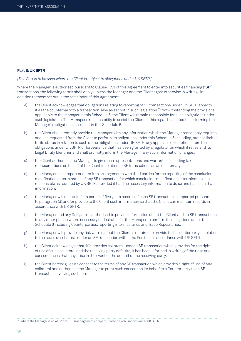#### **Part B: UK SFTR**

*[This Part is to be used where the Client is subject to obligations under UK SFTR.]*

Where the Manager is authorised pursuant to Clause 17.3 of this Agreement to enter into securities financing ("**SF**") transactions, the following terms shall apply (unless the Manager and the Client agree otherwise in writing), in addition to those set out in the remainder of this Agreement:

- a) the Client acknowledges that obligations relating to reporting of SF transactions under UK SFTR apply to it as the counterparty to a transaction save as set out in such legislation.35 Notwithstanding the provisions applicable to the Manager in this Schedule 6, the Client will remain responsible for such obligations under such legislation. The Manager's responsibility to assist the Client in this regard is limited to performing the Manager's obligations as set out in this Schedule 6;
- b) the Client shall promptly provide the Manager with any information which the Manager reasonably requires and has requested from the Client to perform its obligations under this Schedule 6 including, but not limited to, its status in relation to each of the obligations under UK SFTR, any applicable exemptions from the obligations under UK SFTR or forbearance that has been granted by a regulator on which it relies and its Legal Entity Identifier and shall promptly inform the Manager if any such information changes;
- c) the Client authorises the Manager to give such representations and warranties including tax representations on behalf of the Client in relation to SF transactions as are customary;
- d) the Manager shall report or enter into arrangements with third parties for the reporting of the conclusion, modification or termination of any SF transaction for which conclusion, modification or termination it is responsible as required by UK SFTR, provided it has the necessary information to do so and based on that information;
- e) the Manager will maintain for a period of five years records of each SF transaction as reported pursuant to paragraph (d) and/or provide to the Client such information so that the Client can maintain records in accordance with UK SFTR;
- f) the Manager and any Delegate is authorised to provide information about the Client and its SF transactions to any other person where necessary or desirable for the Manager to perform its obligations under this Schedule 6 including Counterparties, reporting intermediaries and Trade Repositories;
- g) the Manager will provide any risk warning that the Client is required to provide to its counterparty in relation to the reuse of collateral under an SF transaction within the Portfolio in accordance with UK SFTR;
- h) the Client acknowledges that, if it provides collateral under a SF transaction which provides for the right of use of such collateral and the receiving party defaults, it has been informed in writing of the risks and consequences that may arise in the event of the default of the receiving party;
- i) the Client hereby gives its consent to the terms of any SF transaction which provides a right of use of any collateral and authorises the Manager to grant such consent on its behalf to a Counterparty to an SF transaction involving such terms;

35 Where the Manager is an AIFM or UCITS management company, it also has obligations under UK SFTR.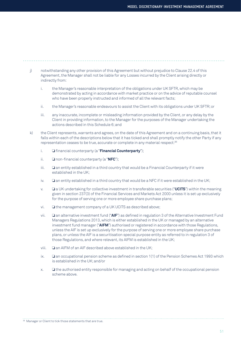- j) notwithstanding any other provision of this Agreement but without prejudice to Clause 22.4 of this Agreement, the Manager shall not be liable for any Losses incurred by the Client arising directly or indirectly from:
	- i. the Manager's reasonable interpretation of the obligations under UK SFTR, which may be demonstrated by acting in accordance with market practice or on the advice of reputable counsel who have been properly instructed and informed of all the relevant facts;
	- ii. the Manager's reasonable endeavours to assist the Client with its obligations under UK SFTR; or
	- iii. any inaccurate, incomplete or misleading information provided by the Client, or any delay by the Client in providing information, to the Manager for the purposes of the Manager undertaking the actions described in this Schedule 6; and
- k) the Client represents, warrants and agrees, on the date of this Agreement and on a continuing basis, that it falls within each of the descriptions below that it has ticked and shall promptly notify the other Party if any representation ceases to be true, accurate or complete in any material respect:36
	- i. ❏ financial counterparty (a "**Financial Counterparty**");
	- ii. ❏ non-financial counterparty (a "**NFC**");
	- iii. ❏ an entity established in a third country that would be a Financial Counterparty if it were established in the UK;
	- iv. ❏ an entity established in a third country that would be a NFC if it were established in the UK;
	- v. ❏ a UK undertaking for collective investment in transferable securities ("**UCITS**") within the meaning given in section 237(3) of the Financial Services and Markets Act 2000 unless it is set up exclusively for the purpose of serving one or more employee share purchase plans;
	- vi. ❏ the management company of a UK UCITS as described above;
	- vii. ❏ an alternative investment fund ("**AIF**") as defined in regulation 3 of the Alternative Investment Fund Managers Regulations 2013, which is either established in the UK or managed by an alternative investment fund manager ("**AIFM**") authorised or registered in accordance with those Regulations, unless the AIF is set up exclusively for the purpose of serving one or more employee share purchase plans, or unless the AIF is a securitisation special purpose entity as referred to in regulation 3 of those Regulations, and where relevant, its AIFM is established in the UK;
	- viii. ❏ an AIFM of an AIF described above established in the UK;
	- ix. ❏ an occupational pension scheme as defined in section 1(1) of the Pension Schemes Act 1993 which is established in the UK; and/or
	- x. ❏ the authorised entity responsible for managing and acting on behalf of the occupational pension scheme above.

<sup>36</sup> Manager or Client to tick those statements that are true.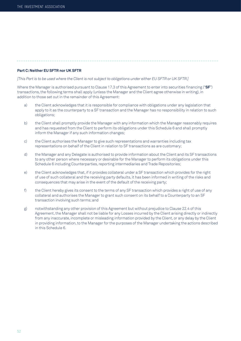#### **Part C: Neither EU SFTR nor UK SFTR**

*[This Part is to be used where the Client is not subject to obligations under either EU SFTR or UK SFTR.]*

Where the Manager is authorised pursuant to Clause 17.3 of this Agreement to enter into securities financing ("**SF**") transactions, the following terms shall apply (unless the Manager and the Client agree otherwise in writing), in addition to those set out in the remainder of this Agreement:

- a) the Client acknowledges that it is responsible for compliance with obligations under any legislation that apply to it as the counterparty to a SF transaction and the Manager has no responsibility in relation to such obligations;
- b) the Client shall promptly provide the Manager with any information which the Manager reasonably requires and has requested from the Client to perform its obligations under this Schedule 6 and shall promptly inform the Manager if any such information changes;
- c) the Client authorises the Manager to give such representations and warranties including tax representations on behalf of the Client in relation to SF transactions as are customary;
- d) the Manager and any Delegate is authorised to provide information about the Client and its SF transactions to any other person where necessary or desirable for the Manager to perform its obligations under this Schedule 6 including Counterparties, reporting intermediaries and Trade Repositories;
- e) the Client acknowledges that, if it provides collateral under a SF transaction which provides for the right of use of such collateral and the receiving party defaults, it has been informed in writing of the risks and consequences that may arise in the event of the default of the receiving party;
- f) the Client hereby gives its consent to the terms of any SF transaction which provides a right of use of any collateral and authorises the Manager to grant such consent on its behalf to a Counterparty to an SF transaction involving such terms; and
- g) notwithstanding any other provision of this Agreement but without prejudice to Clause 22.4 of this Agreement, the Manager shall not be liable for any Losses incurred by the Client arising directly or indirectly from any inaccurate, incomplete or misleading information provided by the Client, or any delay by the Client in providing information, to the Manager for the purposes of the Manager undertaking the actions described in this Schedule 6.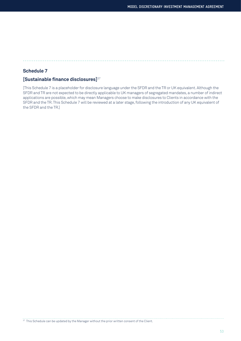# **Schedule 7**

# **[Sustainable finance disclosures]**<sup>37</sup>

[This Schedule 7 is a placeholder for disclosure language under the SFDR and the TR or UK equivalent. Although the SFDR and TR are not expected to be directly applicable to UK managers of segregated mandates, a number of indirect applications are possible, which may mean Managers choose to make disclosures to Clients in accordance with the SFDR and the TR. This Schedule 7 will be reviewed at a later stage, following the introduction of any UK equivalent of the SFDR and the TR.]

<sup>37</sup> This Schedule can be updated by the Manager without the prior written consent of the Client.